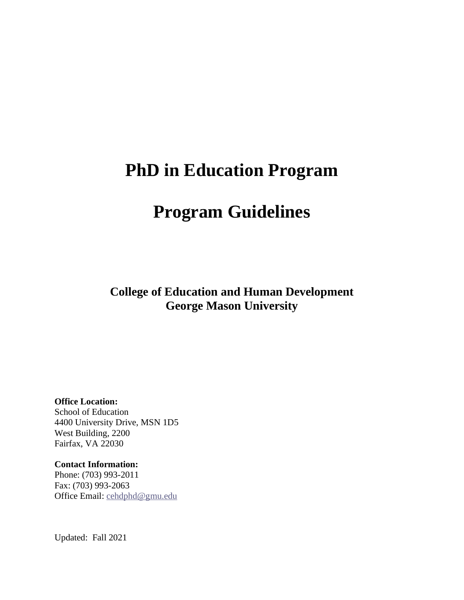# **PhD in Education Program**

# **Program Guidelines**

**College of Education and Human Development George Mason University**

**Office Location:**

School of Education 4400 University Drive, MSN 1D5 West Building, 2200 Fairfax, VA 22030

**Contact Information:**

Phone: (703) 993-2011 Fax: (703) 993-2063 Office Email: [cehdphd@gmu.edu](mailto:cehdphd@gmu.edu)

Updated: Fall 2021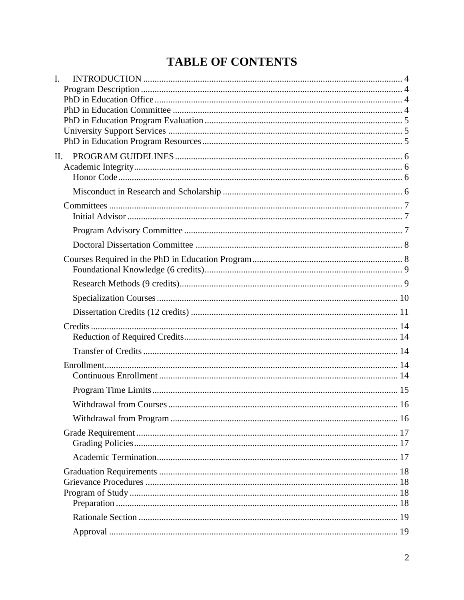## **TABLE OF CONTENTS**

| I.  |  |
|-----|--|
|     |  |
|     |  |
|     |  |
|     |  |
|     |  |
| II. |  |
|     |  |
|     |  |
|     |  |
|     |  |
|     |  |
|     |  |
|     |  |
|     |  |
|     |  |
|     |  |
|     |  |
|     |  |
|     |  |
|     |  |
|     |  |
|     |  |
|     |  |
|     |  |
|     |  |
|     |  |
|     |  |
|     |  |
|     |  |
|     |  |
|     |  |
|     |  |
|     |  |
|     |  |
|     |  |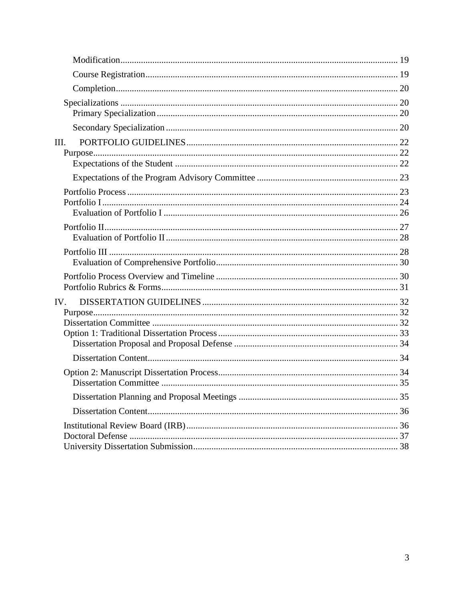| III. |  |
|------|--|
|      |  |
|      |  |
|      |  |
|      |  |
|      |  |
|      |  |
|      |  |
| IV.  |  |
|      |  |
|      |  |
|      |  |
|      |  |
|      |  |
|      |  |
|      |  |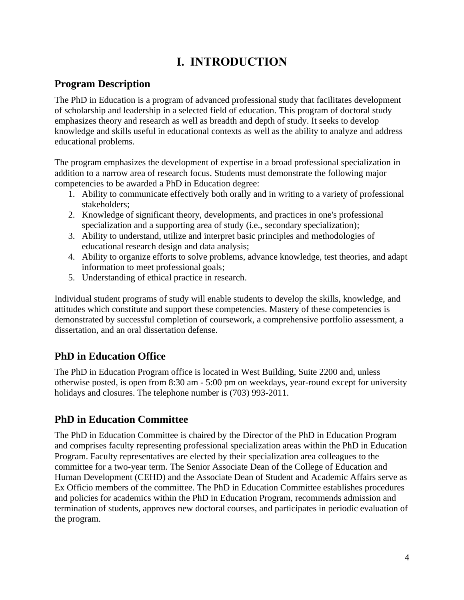## **I. INTRODUCTION**

## <span id="page-3-1"></span><span id="page-3-0"></span>**Program Description**

The PhD in Education is a program of advanced professional study that facilitates development of scholarship and leadership in a selected field of education. This program of doctoral study emphasizes theory and research as well as breadth and depth of study. It seeks to develop knowledge and skills useful in educational contexts as well as the ability to analyze and address educational problems.

The program emphasizes the development of expertise in a broad professional specialization in addition to a narrow area of research focus. Students must demonstrate the following major competencies to be awarded a PhD in Education degree:

- 1. Ability to communicate effectively both orally and in writing to a variety of professional stakeholders;
- 2. Knowledge of significant theory, developments, and practices in one's professional specialization and a supporting area of study (i.e., secondary specialization);
- 3. Ability to understand, utilize and interpret basic principles and methodologies of educational research design and data analysis;
- 4. Ability to organize efforts to solve problems, advance knowledge, test theories, and adapt information to meet professional goals;
- 5. Understanding of ethical practice in research.

Individual student programs of study will enable students to develop the skills, knowledge, and attitudes which constitute and support these competencies. Mastery of these competencies is demonstrated by successful completion of coursework, a comprehensive portfolio assessment, a dissertation, and an oral dissertation defense.

## <span id="page-3-2"></span>**PhD in Education Office**

The PhD in Education Program office is located in West Building, Suite 2200 and, unless otherwise posted, is open from 8:30 am - 5:00 pm on weekdays, year-round except for university holidays and closures. The telephone number is (703) 993-2011.

## <span id="page-3-3"></span>**PhD in Education Committee**

The PhD in Education Committee is chaired by the Director of the PhD in Education Program and comprises faculty representing professional specialization areas within the PhD in Education Program. Faculty representatives are elected by their specialization area colleagues to the committee for a two-year term. The Senior Associate Dean of the College of Education and Human Development (CEHD) and the Associate Dean of Student and Academic Affairs serve as Ex Officio members of the committee. The PhD in Education Committee establishes procedures and policies for academics within the PhD in Education Program, recommends admission and termination of students, approves new doctoral courses, and participates in periodic evaluation of the program.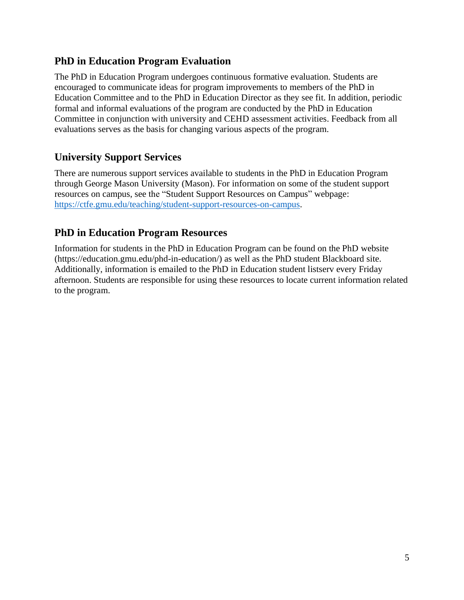### <span id="page-4-0"></span>**PhD in Education Program Evaluation**

The PhD in Education Program undergoes continuous formative evaluation. Students are encouraged to communicate ideas for program improvements to members of the PhD in Education Committee and to the PhD in Education Director as they see fit. In addition, periodic formal and informal evaluations of the program are conducted by the PhD in Education Committee in conjunction with university and CEHD assessment activities. Feedback from all evaluations serves as the basis for changing various aspects of the program.

## <span id="page-4-1"></span>**University Support Services**

There are numerous support services available to students in the PhD in Education Program through George Mason University (Mason). For information on some of the student support resources on campus, see the "Student Support Resources on Campus" webpage: [https://ctfe.gmu.edu/teaching/student-support-resources-on-campus.](https://ctfe.gmu.edu/teaching/student-support-resources-on-campus)

## <span id="page-4-2"></span>**PhD in Education Program Resources**

Information for students in the PhD in Education Program can be found on the PhD website (https://education.gmu.edu/phd-in-education/) as well as the PhD student Blackboard site. Additionally, information is emailed to the PhD in Education student listserv every Friday afternoon. Students are responsible for using these resources to locate current information related to the program.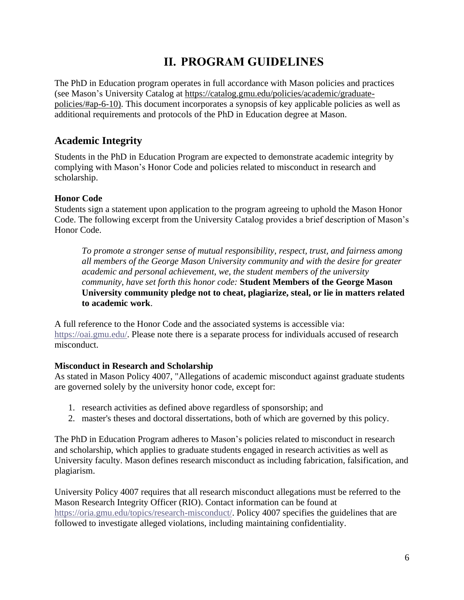## **II. PROGRAM GUIDELINES**

<span id="page-5-0"></span>The PhD in Education program operates in full accordance with Mason policies and practices (see Mason's University Catalog at [https://catalog.gmu.edu/policies/academic/graduate](https://catalog.gmu.edu/policies/academic/graduate-policies/#ap-6-10)[policies/#ap-6-10\)](https://catalog.gmu.edu/policies/academic/graduate-policies/#ap-6-10). This document incorporates a synopsis of key applicable policies as well as additional requirements and protocols of the PhD in Education degree at Mason.

## <span id="page-5-1"></span>**Academic Integrity**

Students in the PhD in Education Program are expected to demonstrate academic integrity by complying with Mason's Honor Code and policies related to misconduct in research and scholarship.

#### <span id="page-5-2"></span>**Honor Code**

Students sign a statement upon application to the program agreeing to uphold the Mason Honor Code. The following excerpt from the University Catalog provides a brief description of Mason's Honor Code.

*To promote a stronger sense of mutual responsibility, respect, trust, and fairness among all members of the George Mason University community and with the desire for greater academic and personal achievement, we, the student members of the university community, have set forth this honor code:* **Student Members of the George Mason University community pledge not to cheat, plagiarize, steal, or lie in matters related to academic work**.

A full reference to the Honor Code and the associated systems is accessible via: [https://oai.gmu.edu/.](https://oai.gmu.edu/) Please note there is a separate process for individuals accused of research misconduct.

#### <span id="page-5-3"></span>**Misconduct in Research and Scholarship**

As stated in Mason Policy 4007, "Allegations of academic misconduct against graduate students are governed solely by the university honor code, except for:

- 1. research activities as defined above regardless of sponsorship; and
- 2. master's theses and doctoral dissertations, both of which are governed by this policy.

The PhD in Education Program adheres to Mason's policies related to misconduct in research and scholarship, which applies to graduate students engaged in research activities as well as University faculty. Mason defines research misconduct as including fabrication, falsification, and plagiarism.

University Policy 4007 requires that all research misconduct allegations must be referred to the Mason Research Integrity Officer (RIO). Contact information can be found at [https://oria.gmu.edu/topics/research-misconduct/.](https://oria.gmu.edu/topics/research-misconduct/) Policy 4007 specifies the guidelines that are followed to investigate alleged violations, including maintaining confidentiality.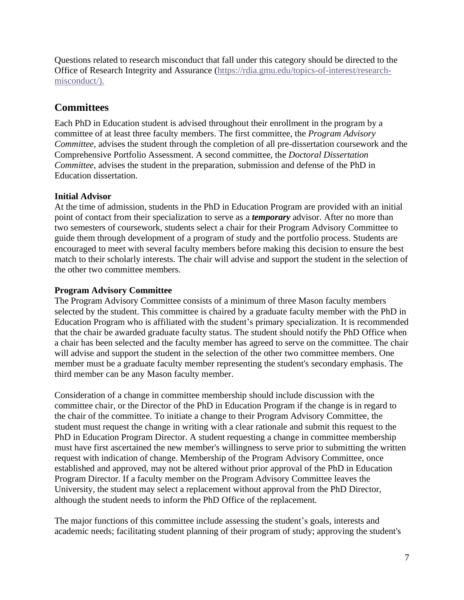Questions related to research misconduct that fall under this category should be directed to the Office of Research Integrity and Assurance [\(https://rdia.gmu.edu/topics-of-interest/research](https://rdia.gmu.edu/topics-of-interest/research-misconduct/)[misconduct/\)](https://rdia.gmu.edu/topics-of-interest/research-misconduct/).

## <span id="page-6-0"></span>**Committees**

Each PhD in Education student is advised throughout their enrollment in the program by a committee of at least three faculty members. The first committee, the *Program Advisory Committee*, advises the student through the completion of all pre-dissertation coursework and the Comprehensive Portfolio Assessment. A second committee, the *Doctoral Dissertation Committee*, advises the student in the preparation, submission and defense of the PhD in Education dissertation.

#### <span id="page-6-1"></span>**Initial Advisor**

At the time of admission, students in the PhD in Education Program are provided with an initial point of contact from their specialization to serve as a *temporary* advisor. After no more than two semesters of coursework, students select a chair for their Program Advisory Committee to guide them through development of a program of study and the portfolio process. Students are encouraged to meet with several faculty members before making this decision to ensure the best match to their scholarly interests. The chair will advise and support the student in the selection of the other two committee members.

#### <span id="page-6-2"></span>**Program Advisory Committee**

The Program Advisory Committee consists of a minimum of three Mason faculty members selected by the student. This committee is chaired by a graduate faculty member with the PhD in Education Program who is affiliated with the student's primary specialization. It is recommended that the chair be awarded graduate faculty status. The student should notify the PhD Office when a chair has been selected and the faculty member has agreed to serve on the committee. The chair will advise and support the student in the selection of the other two committee members. One member must be a graduate faculty member representing the student's secondary emphasis. The third member can be any Mason faculty member.

Consideration of a change in committee membership should include discussion with the committee chair, or the Director of the PhD in Education Program if the change is in regard to the chair of the committee. To initiate a change to their Program Advisory Committee, the student must request the change in writing with a clear rationale and submit this request to the PhD in Education Program Director. A student requesting a change in committee membership must have first ascertained the new member's willingness to serve prior to submitting the written request with indication of change. Membership of the Program Advisory Committee, once established and approved, may not be altered without prior approval of the PhD in Education Program Director. If a faculty member on the Program Advisory Committee leaves the University, the student may select a replacement without approval from the PhD Director, although the student needs to inform the PhD Office of the replacement.

The major functions of this committee include assessing the student's goals, interests and academic needs; facilitating student planning of their program of study; approving the student's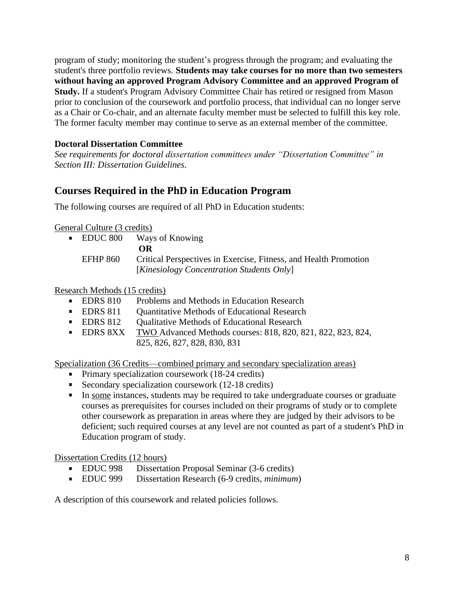program of study; monitoring the student's progress through the program; and evaluating the student's three portfolio reviews. **Students may take courses for no more than two semesters without having an approved Program Advisory Committee and an approved Program of Study.** If a student's Program Advisory Committee Chair has retired or resigned from Mason prior to conclusion of the coursework and portfolio process, that individual can no longer serve as a Chair or Co-chair, and an alternate faculty member must be selected to fulfill this key role. The former faculty member may continue to serve as an external member of the committee.

#### <span id="page-7-0"></span>**Doctoral Dissertation Committee**

*See requirements for doctoral dissertation committees under "Dissertation Committee" in Section III: Dissertation Guidelines.*

## <span id="page-7-1"></span>**Courses Required in the PhD in Education Program**

The following courses are required of all PhD in Education students:

General Culture (3 credits)

**EDUC 800** Ways of Knowing **OR** EFHP 860 Critical Perspectives in Exercise, Fitness, and Health Promotion [*Kinesiology Concentration Students Only*]

Research Methods (15 credits)

- **EDRS 810** Problems and Methods in Education Research
- **EDRS 811** Ouantitative Methods of Educational Research
- **EDRS 812** Qualitative Methods of Educational Research
- **EDRS 8XX** TWO Advanced Methods courses: 818, 820, 821, 822, 823, 824, 825, 826, 827, 828, 830, 831

Specialization (36 Credits—combined primary and secondary specialization areas)

- **Primary specialization coursework (18-24 credits)**
- Secondary specialization coursework (12-18 credits)
- In some instances, students may be required to take undergraduate courses or graduate courses as prerequisites for courses included on their programs of study or to complete other coursework as preparation in areas where they are judged by their advisors to be deficient; such required courses at any level are not counted as part of a student's PhD in Education program of study.

Dissertation Credits (12 hours)

- **EDUC 998** Dissertation Proposal Seminar (3-6 credits)
- EDUC 999 Dissertation Research (6-9 credits, *minimum*)

<span id="page-7-2"></span>A description of this coursework and related policies follows.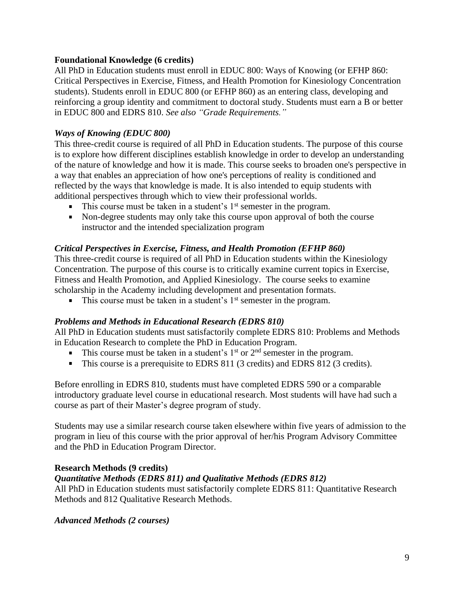#### **Foundational Knowledge (6 credits)**

All PhD in Education students must enroll in EDUC 800: Ways of Knowing (or EFHP 860: Critical Perspectives in Exercise, Fitness, and Health Promotion for Kinesiology Concentration students). Students enroll in EDUC 800 (or EFHP 860) as an entering class, developing and reinforcing a group identity and commitment to doctoral study. Students must earn a B or better in EDUC 800 and EDRS 810. *See also "Grade Requirements."*

#### *Ways of Knowing (EDUC 800)*

This three-credit course is required of all PhD in Education students. The purpose of this course is to explore how different disciplines establish knowledge in order to develop an understanding of the nature of knowledge and how it is made. This course seeks to broaden one's perspective in a way that enables an appreciation of how one's perceptions of reality is conditioned and reflected by the ways that knowledge is made. It is also intended to equip students with additional perspectives through which to view their professional worlds.

- $\blacksquare$  This course must be taken in a student's  $1<sup>st</sup>$  semester in the program.
- Non-degree students may only take this course upon approval of both the course instructor and the intended specialization program

#### *Critical Perspectives in Exercise, Fitness, and Health Promotion (EFHP 860)*

This three-credit course is required of all PhD in Education students within the Kinesiology Concentration. The purpose of this course is to critically examine current topics in Exercise, Fitness and Health Promotion, and Applied Kinesiology. The course seeks to examine scholarship in the Academy including development and presentation formats.

 $\mathbf{u}$  . This course must be taken in a student's  $1<sup>st</sup>$  semester in the program.

#### *Problems and Methods in Educational Research (EDRS 810)*

All PhD in Education students must satisfactorily complete EDRS 810: Problems and Methods in Education Research to complete the PhD in Education Program.

- This course must be taken in a student's  $1<sup>st</sup>$  or  $2<sup>nd</sup>$  semester in the program.
- This course is a prerequisite to EDRS 811 (3 credits) and EDRS 812 (3 credits).

Before enrolling in EDRS 810, students must have completed EDRS 590 or a comparable introductory graduate level course in educational research. Most students will have had such a course as part of their Master's degree program of study.

Students may use a similar research course taken elsewhere within five years of admission to the program in lieu of this course with the prior approval of her/his Program Advisory Committee and the PhD in Education Program Director.

#### <span id="page-8-0"></span>**Research Methods (9 credits)**

#### *Quantitative Methods (EDRS 811) and Qualitative Methods (EDRS 812)*

All PhD in Education students must satisfactorily complete EDRS 811: Quantitative Research Methods and 812 Qualitative Research Methods.

#### *Advanced Methods (2 courses)*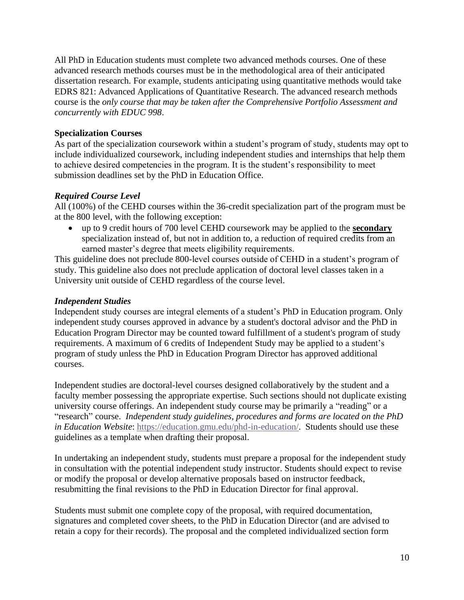All PhD in Education students must complete two advanced methods courses. One of these advanced research methods courses must be in the methodological area of their anticipated dissertation research. For example, students anticipating using quantitative methods would take EDRS 821: Advanced Applications of Quantitative Research. The advanced research methods course is the *only course that may be taken after the Comprehensive Portfolio Assessment and concurrently with EDUC 998*.

#### <span id="page-9-0"></span>**Specialization Courses**

As part of the specialization coursework within a student's program of study, students may opt to include individualized coursework, including independent studies and internships that help them to achieve desired competencies in the program. It is the student's responsibility to meet submission deadlines set by the PhD in Education Office.

#### *Required Course Level*

All (100%) of the CEHD courses within the 36-credit specialization part of the program must be at the 800 level, with the following exception:

• up to 9 credit hours of 700 level CEHD coursework may be applied to the **secondary** specialization instead of, but not in addition to, a reduction of required credits from an earned master's degree that meets eligibility requirements.

This guideline does not preclude 800-level courses outside of CEHD in a student's program of study. This guideline also does not preclude application of doctoral level classes taken in a University unit outside of CEHD regardless of the course level.

#### *Independent Studies*

Independent study courses are integral elements of a student's PhD in Education program. Only independent study courses approved in advance by a student's doctoral advisor and the PhD in Education Program Director may be counted toward fulfillment of a student's program of study requirements. A maximum of 6 credits of Independent Study may be applied to a student's program of study unless the PhD in Education Program Director has approved additional courses.

Independent studies are doctoral-level courses designed collaboratively by the student and a faculty member possessing the appropriate expertise. Such sections should not duplicate existing university course offerings. An independent study course may be primarily a "reading" or a "research" course. *Independent study guidelines, procedures and forms are located on the PhD in Education Website*: [https://education.gmu.edu/phd-in-education/.](https://education.gmu.edu/phd-in-education/) Students should use these guidelines as a template when drafting their proposal.

In undertaking an independent study, students must prepare a proposal for the independent study in consultation with the potential independent study instructor. Students should expect to revise or modify the proposal or develop alternative proposals based on instructor feedback, resubmitting the final revisions to the PhD in Education Director for final approval.

Students must submit one complete copy of the proposal, with required documentation, signatures and completed cover sheets, to the PhD in Education Director (and are advised to retain a copy for their records). The proposal and the completed individualized section form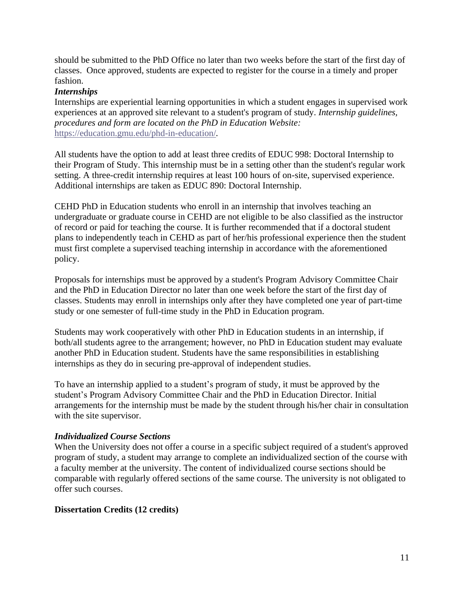should be submitted to the PhD Office no later than two weeks before the start of the first day of classes. Once approved, students are expected to register for the course in a timely and proper fashion.

#### *Internships*

Internships are experiential learning opportunities in which a student engages in supervised work experiences at an approved site relevant to a student's program of study. *Internship guidelines, procedures and form are located on the PhD in Education Website:* <https://education.gmu.edu/phd-in-education/>*.*

All students have the option to add at least three credits of EDUC 998: Doctoral Internship to their Program of Study. This internship must be in a setting other than the student's regular work setting. A three-credit internship requires at least 100 hours of on-site, supervised experience. Additional internships are taken as EDUC 890: Doctoral Internship.

CEHD PhD in Education students who enroll in an internship that involves teaching an undergraduate or graduate course in CEHD are not eligible to be also classified as the instructor of record or paid for teaching the course. It is further recommended that if a doctoral student plans to independently teach in CEHD as part of her/his professional experience then the student must first complete a supervised teaching internship in accordance with the aforementioned policy.

Proposals for internships must be approved by a student's Program Advisory Committee Chair and the PhD in Education Director no later than one week before the start of the first day of classes. Students may enroll in internships only after they have completed one year of part-time study or one semester of full-time study in the PhD in Education program.

Students may work cooperatively with other PhD in Education students in an internship, if both/all students agree to the arrangement; however, no PhD in Education student may evaluate another PhD in Education student. Students have the same responsibilities in establishing internships as they do in securing pre-approval of independent studies.

To have an internship applied to a student's program of study, it must be approved by the student's Program Advisory Committee Chair and the PhD in Education Director. Initial arrangements for the internship must be made by the student through his/her chair in consultation with the site supervisor.

#### *Individualized Course Sections*

When the University does not offer a course in a specific subject required of a student's approved program of study, a student may arrange to complete an individualized section of the course with a faculty member at the university. The content of individualized course sections should be comparable with regularly offered sections of the same course. The university is not obligated to offer such courses.

#### <span id="page-10-0"></span>**Dissertation Credits (12 credits)**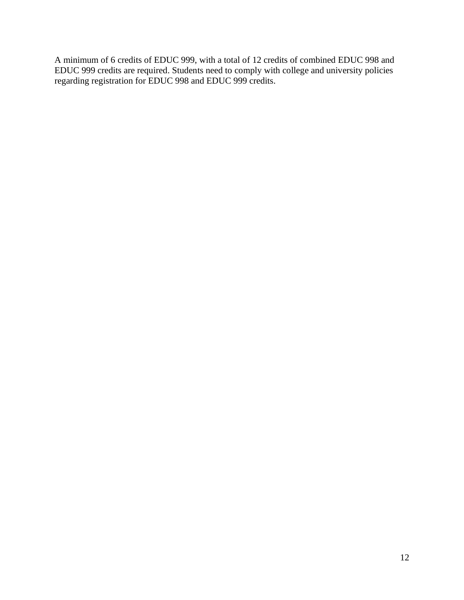A minimum of 6 credits of EDUC 999, with a total of 12 credits of combined EDUC 998 and EDUC 999 credits are required. Students need to comply with college and university policies regarding registration for EDUC 998 and EDUC 999 credits.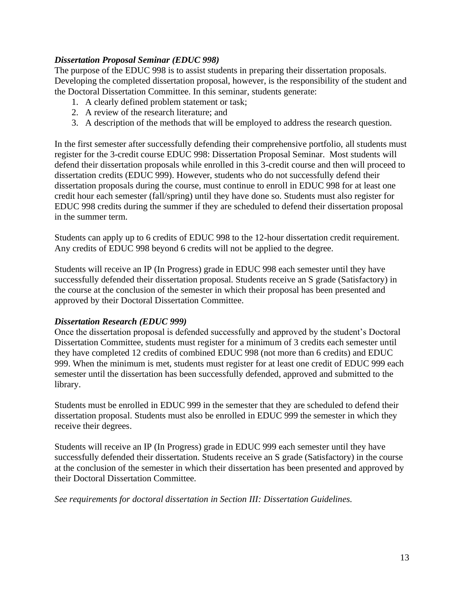#### *Dissertation Proposal Seminar (EDUC 998)*

The purpose of the EDUC 998 is to assist students in preparing their dissertation proposals. Developing the completed dissertation proposal, however, is the responsibility of the student and the Doctoral Dissertation Committee. In this seminar, students generate:

- 1. A clearly defined problem statement or task;
- 2. A review of the research literature; and
- 3. A description of the methods that will be employed to address the research question.

In the first semester after successfully defending their comprehensive portfolio, all students must register for the 3-credit course EDUC 998: Dissertation Proposal Seminar. Most students will defend their dissertation proposals while enrolled in this 3-credit course and then will proceed to dissertation credits (EDUC 999). However, students who do not successfully defend their dissertation proposals during the course, must continue to enroll in EDUC 998 for at least one credit hour each semester (fall/spring) until they have done so. Students must also register for EDUC 998 credits during the summer if they are scheduled to defend their dissertation proposal in the summer term.

Students can apply up to 6 credits of EDUC 998 to the 12-hour dissertation credit requirement. Any credits of EDUC 998 beyond 6 credits will not be applied to the degree.

Students will receive an IP (In Progress) grade in EDUC 998 each semester until they have successfully defended their dissertation proposal. Students receive an S grade (Satisfactory) in the course at the conclusion of the semester in which their proposal has been presented and approved by their Doctoral Dissertation Committee.

#### *Dissertation Research (EDUC 999)*

Once the dissertation proposal is defended successfully and approved by the student's Doctoral Dissertation Committee, students must register for a minimum of 3 credits each semester until they have completed 12 credits of combined EDUC 998 (not more than 6 credits) and EDUC 999. When the minimum is met, students must register for at least one credit of EDUC 999 each semester until the dissertation has been successfully defended, approved and submitted to the library.

Students must be enrolled in EDUC 999 in the semester that they are scheduled to defend their dissertation proposal. Students must also be enrolled in EDUC 999 the semester in which they receive their degrees.

Students will receive an IP (In Progress) grade in EDUC 999 each semester until they have successfully defended their dissertation. Students receive an S grade (Satisfactory) in the course at the conclusion of the semester in which their dissertation has been presented and approved by their Doctoral Dissertation Committee.

<span id="page-12-0"></span>*See requirements for doctoral dissertation in Section III: Dissertation Guidelines.*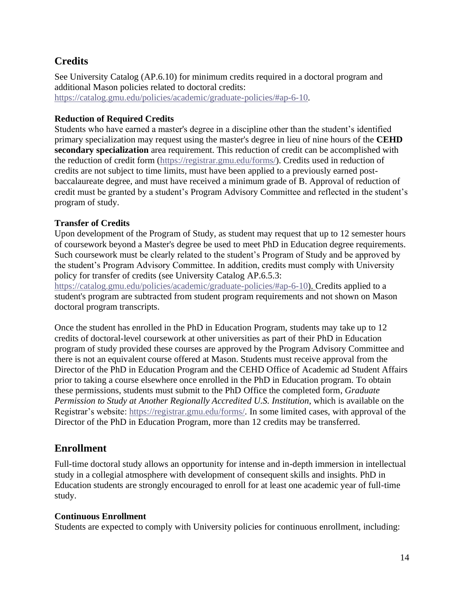## **Credits**

See University Catalog (AP.6.10) for minimum credits required in a doctoral program and additional Mason policies related to doctoral credits: [https://catalog.gmu.edu/policies/academic/graduate-policies/#ap-6-10.](https://catalog.gmu.edu/policies/academic/graduate-policies/#ap-6-10)

#### <span id="page-13-0"></span>**Reduction of Required Credits**

Students who have earned a master's degree in a discipline other than the student's identified primary specialization may request using the master's degree in lieu of nine hours of the **CEHD secondary specialization** area requirement. This reduction of credit can be accomplished with the reduction of credit form [\(https://registrar.gmu.edu/forms/\)](https://registrar.gmu.edu/forms/). Credits used in reduction of credits are not subject to time limits, must have been applied to a previously earned postbaccalaureate degree, and must have received a minimum grade of B. Approval of reduction of credit must be granted by a student's Program Advisory Committee and reflected in the student's program of study.

#### <span id="page-13-1"></span>**Transfer of Credits**

Upon development of the Program of Study, as student may request that up to 12 semester hours of coursework beyond a Master's degree be used to meet PhD in Education degree requirements. Such coursework must be clearly related to the student's Program of Study and be approved by the student's Program Advisory Committee. In addition, credits must comply with University policy for transfer of credits (see University Catalog AP.6.5.3:

[https://catalog.gmu.edu/policies/academic/graduate-policies/#ap-6-10\)](https://catalog.gmu.edu/policies/academic/graduate-policies/#ap-6-10). Credits applied to a student's program are subtracted from student program requirements and not shown on Mason doctoral program transcripts.

Once the student has enrolled in the PhD in Education Program, students may take up to 12 credits of doctoral-level coursework at other universities as part of their PhD in Education program of study provided these courses are approved by the Program Advisory Committee and there is not an equivalent course offered at Mason. Students must receive approval from the Director of the PhD in Education Program and the CEHD Office of Academic ad Student Affairs prior to taking a course elsewhere once enrolled in the PhD in Education program. To obtain these permissions, students must submit to the PhD Office the completed form, *Graduate Permission to Study at Another Regionally Accredited U.S. Institution*, which is available on the Registrar's website: [https://registrar.gmu.edu/forms/.](https://registrar.gmu.edu/forms/) In some limited cases, with approval of the Director of the PhD in Education Program, more than 12 credits may be transferred.

#### <span id="page-13-2"></span>**Enrollment**

Full-time doctoral study allows an opportunity for intense and in-depth immersion in intellectual study in a collegial atmosphere with development of consequent skills and insights. PhD in Education students are strongly encouraged to enroll for at least one academic year of full-time study.

#### <span id="page-13-3"></span>**Continuous Enrollment**

Students are expected to comply with University policies for continuous enrollment, including: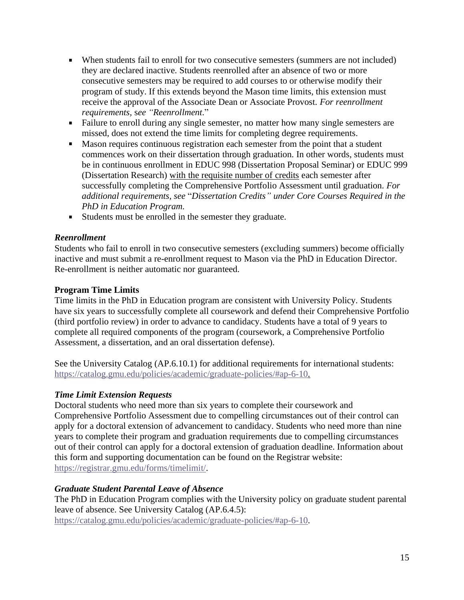- When students fail to enroll for two consecutive semesters (summers are not included) they are declared inactive. Students reenrolled after an absence of two or more consecutive semesters may be required to add courses to or otherwise modify their program of study. If this extends beyond the Mason time limits, this extension must receive the approval of the Associate Dean or Associate Provost. *For reenrollment requirements,* s*ee "Reenrollment*."
- Failure to enroll during any single semester, no matter how many single semesters are missed, does not extend the time limits for completing degree requirements.
- Mason requires continuous registration each semester from the point that a student commences work on their dissertation through graduation. In other words, students must be in continuous enrollment in EDUC 998 (Dissertation Proposal Seminar) or EDUC 999 (Dissertation Research) with the requisite number of credits each semester after successfully completing the Comprehensive Portfolio Assessment until graduation. *For additional requirements, see* "*Dissertation Credits" under Core Courses Required in the PhD in Education Program.*
- Students must be enrolled in the semester they graduate.

#### *Reenrollment*

Students who fail to enroll in two consecutive semesters (excluding summers) become officially inactive and must submit a re-enrollment request to Mason via the PhD in Education Director. Re-enrollment is neither automatic nor guaranteed.

#### <span id="page-14-0"></span>**Program Time Limits**

Time limits in the PhD in Education program are consistent with University Policy. Students have six years to successfully complete all coursework and defend their Comprehensive Portfolio (third portfolio review) in order to advance to candidacy. Students have a total of 9 years to complete all required components of the program (coursework, a Comprehensive Portfolio Assessment, a dissertation, and an oral dissertation defense).

See the University Catalog (AP.6.10.1) for additional requirements for international students: [https://catalog.gmu.edu/policies/academic/graduate-policies/#ap-6-10.](https://catalog.gmu.edu/policies/academic/graduate-policies/#ap-6-10)

#### *Time Limit Extension Requests*

Doctoral students who need more than six years to complete their coursework and Comprehensive Portfolio Assessment due to compelling circumstances out of their control can apply for a doctoral extension of advancement to candidacy. Students who need more than nine years to complete their program and graduation requirements due to compelling circumstances out of their control can apply for a doctoral extension of graduation deadline. Information about this form and supporting documentation can be found on the Registrar website: [https://registrar.gmu.edu/forms/timelimit/.](https://registrar.gmu.edu/forms/timelimit/)

#### *Graduate Student Parental Leave of Absence*

The PhD in Education Program complies with the University policy on graduate student parental leave of absence. See University Catalog (AP.6.4.5): [https://catalog.gmu.edu/policies/academic/graduate-policies/#ap-6-10.](https://catalog.gmu.edu/policies/academic/graduate-policies/#ap-6-10)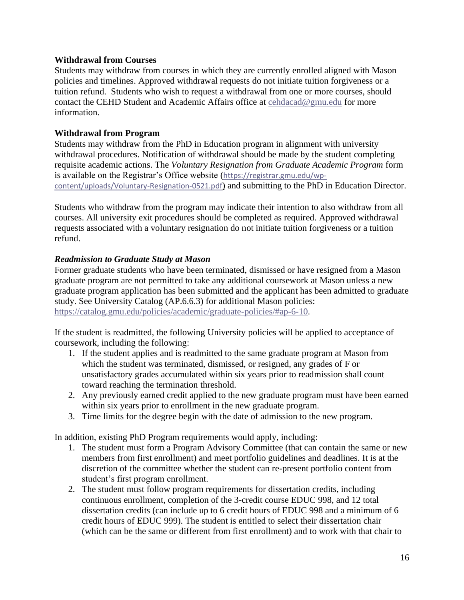#### <span id="page-15-0"></span>**Withdrawal from Courses**

Students may withdraw from courses in which they are currently enrolled aligned with Mason policies and timelines. Approved withdrawal requests do not initiate tuition forgiveness or a tuition refund. Students who wish to request a withdrawal from one or more courses, should contact the CEHD Student and Academic Affairs office at [cehdacad@gmu.edu](mailto:cehdacad@gmu.edu) for more information.

#### <span id="page-15-1"></span>**Withdrawal from Program**

Students may withdraw from the PhD in Education program in alignment with university withdrawal procedures. Notification of withdrawal should be made by the student completing requisite academic actions. The *Voluntary Resignation from Graduate Academic Program* form is available on the Registrar's Office website ([https://registrar.gmu.edu/wp](https://registrar.gmu.edu/wp-content/uploads/Voluntary-Resignation-0521.pdf)[content/uploads/Voluntary-Resignation-0521.pdf](https://registrar.gmu.edu/wp-content/uploads/Voluntary-Resignation-0521.pdf)) and submitting to the PhD in Education Director.

Students who withdraw from the program may indicate their intention to also withdraw from all courses. All university exit procedures should be completed as required. Approved withdrawal requests associated with a voluntary resignation do not initiate tuition forgiveness or a tuition refund.

#### *Readmission to Graduate Study at Mason*

Former graduate students who have been terminated, dismissed or have resigned from a Mason graduate program are not permitted to take any additional coursework at Mason unless a new graduate program application has been submitted and the applicant has been admitted to graduate study. See University Catalog (AP.6.6.3) for additional Mason policies:

[https://catalog.gmu.edu/policies/academic/graduate-policies/#ap-6-10.](https://catalog.gmu.edu/policies/academic/graduate-policies/#ap-6-10)

If the student is readmitted, the following University policies will be applied to acceptance of coursework, including the following:

- 1. If the student applies and is readmitted to the same graduate program at Mason from which the student was terminated, dismissed, or resigned, any grades of F or unsatisfactory grades accumulated within six years prior to readmission shall count toward reaching the termination threshold.
- 2. Any previously earned credit applied to the new graduate program must have been earned within six years prior to enrollment in the new graduate program.
- 3. Time limits for the degree begin with the date of admission to the new program.

In addition, existing PhD Program requirements would apply, including:

- 1. The student must form a Program Advisory Committee (that can contain the same or new members from first enrollment) and meet portfolio guidelines and deadlines. It is at the discretion of the committee whether the student can re-present portfolio content from student's first program enrollment.
- 2. The student must follow program requirements for dissertation credits, including continuous enrollment, completion of the 3-credit course EDUC 998, and 12 total dissertation credits (can include up to 6 credit hours of EDUC 998 and a minimum of 6 credit hours of EDUC 999). The student is entitled to select their dissertation chair (which can be the same or different from first enrollment) and to work with that chair to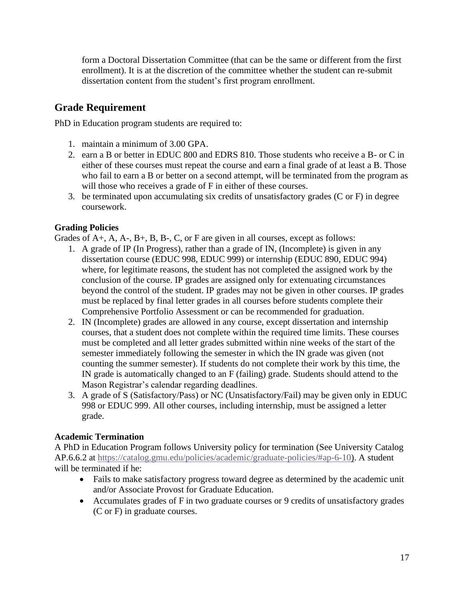form a Doctoral Dissertation Committee (that can be the same or different from the first enrollment). It is at the discretion of the committee whether the student can re-submit dissertation content from the student's first program enrollment.

## <span id="page-16-0"></span>**Grade Requirement**

PhD in Education program students are required to:

- 1. maintain a minimum of 3.00 GPA.
- 2. earn a B or better in EDUC 800 and EDRS 810. Those students who receive a B- or C in either of these courses must repeat the course and earn a final grade of at least a B. Those who fail to earn a B or better on a second attempt, will be terminated from the program as will those who receives a grade of F in either of these courses.
- 3. be terminated upon accumulating six credits of unsatisfactory grades (C or F) in degree coursework.

#### <span id="page-16-1"></span>**Grading Policies**

Grades of A+, A, A-, B+, B, B-, C, or F are given in all courses, except as follows:

- 1. A grade of IP (In Progress), rather than a grade of IN, (Incomplete) is given in any dissertation course (EDUC 998, EDUC 999) or internship (EDUC 890, EDUC 994) where, for legitimate reasons, the student has not completed the assigned work by the conclusion of the course. IP grades are assigned only for extenuating circumstances beyond the control of the student. IP grades may not be given in other courses. IP grades must be replaced by final letter grades in all courses before students complete their Comprehensive Portfolio Assessment or can be recommended for graduation.
- 2. IN (Incomplete) grades are allowed in any course, except dissertation and internship courses, that a student does not complete within the required time limits. These courses must be completed and all letter grades submitted within nine weeks of the start of the semester immediately following the semester in which the IN grade was given (not counting the summer semester). If students do not complete their work by this time, the IN grade is automatically changed to an F (failing) grade. Students should attend to the Mason Registrar's calendar regarding deadlines.
- 3. A grade of S (Satisfactory/Pass) or NC (Unsatisfactory/Fail) may be given only in EDUC 998 or EDUC 999. All other courses, including internship, must be assigned a letter grade.

#### <span id="page-16-2"></span>**Academic Termination**

A PhD in Education Program follows University policy for termination (See University Catalog AP.6.6.2 at [https://catalog.gmu.edu/policies/academic/graduate-policies/#ap-6-10\)](https://catalog.gmu.edu/policies/academic/graduate-policies/#ap-6-10). A student will be terminated if he:

- Fails to make satisfactory progress toward degree as determined by the academic unit and/or Associate Provost for Graduate Education.
- <span id="page-16-3"></span>• Accumulates grades of F in two graduate courses or 9 credits of unsatisfactory grades (C or F) in graduate courses.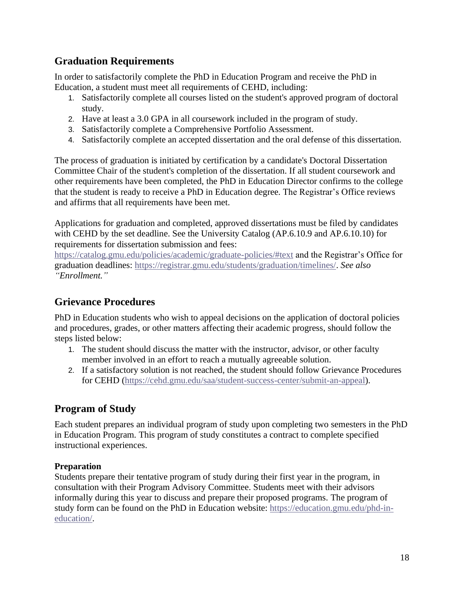## **Graduation Requirements**

In order to satisfactorily complete the PhD in Education Program and receive the PhD in Education, a student must meet all requirements of CEHD, including:

- 1. Satisfactorily complete all courses listed on the student's approved program of doctoral study.
- 2. Have at least a 3.0 GPA in all coursework included in the program of study.
- 3. Satisfactorily complete a Comprehensive Portfolio Assessment.
- 4. Satisfactorily complete an accepted dissertation and the oral defense of this dissertation.

The process of graduation is initiated by certification by a candidate's Doctoral Dissertation Committee Chair of the student's completion of the dissertation. If all student coursework and other requirements have been completed, the PhD in Education Director confirms to the college that the student is ready to receive a PhD in Education degree. The Registrar's Office reviews and affirms that all requirements have been met.

Applications for graduation and completed, approved dissertations must be filed by candidates with CEHD by the set deadline. See the University Catalog (AP.6.10.9 and AP.6.10.10) for requirements for dissertation submission and fees:

<https://catalog.gmu.edu/policies/academic/graduate-policies/#text> and the Registrar's Office for graduation deadlines: [https://registrar.gmu.edu/students/graduation/timelines/.](https://registrar.gmu.edu/students/graduation/timelines/) *See also "Enrollment."*

## <span id="page-17-0"></span>**Grievance Procedures**

PhD in Education students who wish to appeal decisions on the application of doctoral policies and procedures, grades, or other matters affecting their academic progress, should follow the steps listed below:

- 1. The student should discuss the matter with the instructor, advisor, or other faculty member involved in an effort to reach a mutually agreeable solution.
- 2. If a satisfactory solution is not reached, the student should follow Grievance Procedures for CEHD [\(https://cehd.gmu.edu/saa/student-success-center/submit-an-appeal\)](https://cehd.gmu.edu/saa/student-success-center/submit-an-appeal).

### <span id="page-17-1"></span>**Program of Study**

Each student prepares an individual program of study upon completing two semesters in the PhD in Education Program. This program of study constitutes a contract to complete specified instructional experiences.

#### <span id="page-17-2"></span>**Preparation**

Students prepare their tentative program of study during their first year in the program, in consultation with their Program Advisory Committee. Students meet with their advisors informally during this year to discuss and prepare their proposed programs. The program of study form can be found on the PhD in Education website: [https://education.gmu.edu/phd-in](https://education.gmu.edu/phd-in-education/)[education/.](https://education.gmu.edu/phd-in-education/)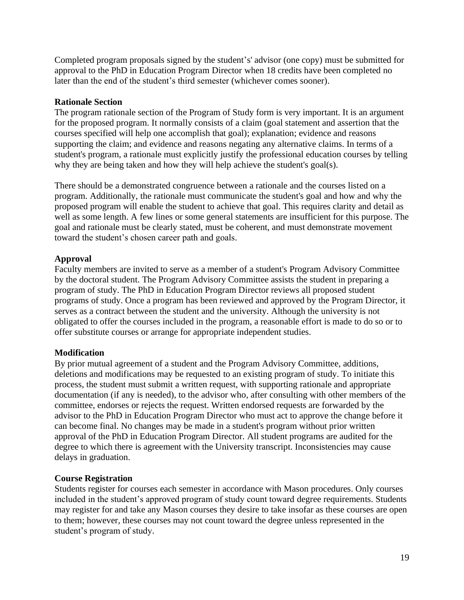Completed program proposals signed by the student's' advisor (one copy) must be submitted for approval to the PhD in Education Program Director when 18 credits have been completed no later than the end of the student's third semester (whichever comes sooner).

#### <span id="page-18-0"></span>**Rationale Section**

The program rationale section of the Program of Study form is very important. It is an argument for the proposed program. It normally consists of a claim (goal statement and assertion that the courses specified will help one accomplish that goal); explanation; evidence and reasons supporting the claim; and evidence and reasons negating any alternative claims. In terms of a student's program, a rationale must explicitly justify the professional education courses by telling why they are being taken and how they will help achieve the student's goal(s).

There should be a demonstrated congruence between a rationale and the courses listed on a program. Additionally, the rationale must communicate the student's goal and how and why the proposed program will enable the student to achieve that goal. This requires clarity and detail as well as some length. A few lines or some general statements are insufficient for this purpose. The goal and rationale must be clearly stated, must be coherent, and must demonstrate movement toward the student's chosen career path and goals.

#### <span id="page-18-1"></span>**Approval**

Faculty members are invited to serve as a member of a student's Program Advisory Committee by the doctoral student. The Program Advisory Committee assists the student in preparing a program of study. The PhD in Education Program Director reviews all proposed student programs of study. Once a program has been reviewed and approved by the Program Director, it serves as a contract between the student and the university. Although the university is not obligated to offer the courses included in the program, a reasonable effort is made to do so or to offer substitute courses or arrange for appropriate independent studies.

#### <span id="page-18-2"></span>**Modification**

By prior mutual agreement of a student and the Program Advisory Committee, additions, deletions and modifications may be requested to an existing program of study. To initiate this process, the student must submit a written request, with supporting rationale and appropriate documentation (if any is needed), to the advisor who, after consulting with other members of the committee, endorses or rejects the request. Written endorsed requests are forwarded by the advisor to the PhD in Education Program Director who must act to approve the change before it can become final. No changes may be made in a student's program without prior written approval of the PhD in Education Program Director. All student programs are audited for the degree to which there is agreement with the University transcript. Inconsistencies may cause delays in graduation.

#### <span id="page-18-3"></span>**Course Registration**

Students register for courses each semester in accordance with Mason procedures. Only courses included in the student's approved program of study count toward degree requirements. Students may register for and take any Mason courses they desire to take insofar as these courses are open to them; however, these courses may not count toward the degree unless represented in the student's program of study.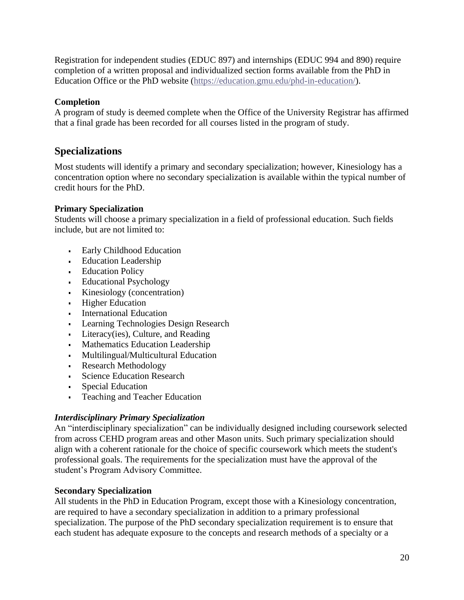Registration for independent studies (EDUC 897) and internships (EDUC 994 and 890) require completion of a written proposal and individualized section forms available from the PhD in Education Office or the PhD website [\(https://education.gmu.edu/phd-in-education/\)](https://education.gmu.edu/phd-in-education/).

#### <span id="page-19-0"></span>**Completion**

A program of study is deemed complete when the Office of the University Registrar has affirmed that a final grade has been recorded for all courses listed in the program of study.

### <span id="page-19-1"></span>**Specializations**

Most students will identify a primary and secondary specialization; however, Kinesiology has a concentration option where no secondary specialization is available within the typical number of credit hours for the PhD.

#### <span id="page-19-2"></span>**Primary Specialization**

Students will choose a primary specialization in a field of professional education. Such fields include, but are not limited to:

- Early Childhood Education
- Education Leadership
- **-** Education Policy
- **Educational Psychology**
- Kinesiology (concentration)
- **Higher Education**
- **International Education**
- Learning Technologies Design Research
- Literacy(ies), Culture, and Reading
- Mathematics Education Leadership
- Multilingual/Multicultural Education
- Research Methodology
- **Science Education Research**
- Special Education
- Teaching and Teacher Education a.

#### *Interdisciplinary Primary Specialization*

An "interdisciplinary specialization" can be individually designed including coursework selected from across CEHD program areas and other Mason units. Such primary specialization should align with a coherent rationale for the choice of specific coursework which meets the student's professional goals. The requirements for the specialization must have the approval of the student's Program Advisory Committee.

#### <span id="page-19-3"></span>**Secondary Specialization**

All students in the PhD in Education Program, except those with a Kinesiology concentration, are required to have a secondary specialization in addition to a primary professional specialization. The purpose of the PhD secondary specialization requirement is to ensure that each student has adequate exposure to the concepts and research methods of a specialty or a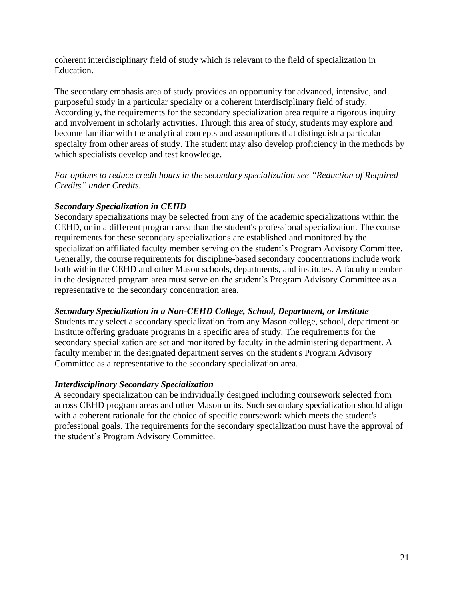coherent interdisciplinary field of study which is relevant to the field of specialization in Education.

The secondary emphasis area of study provides an opportunity for advanced, intensive, and purposeful study in a particular specialty or a coherent interdisciplinary field of study. Accordingly, the requirements for the secondary specialization area require a rigorous inquiry and involvement in scholarly activities. Through this area of study, students may explore and become familiar with the analytical concepts and assumptions that distinguish a particular specialty from other areas of study. The student may also develop proficiency in the methods by which specialists develop and test knowledge.

*For options to reduce credit hours in the secondary specialization see "Reduction of Required Credits" under Credits.*

#### *Secondary Specialization in CEHD*

Secondary specializations may be selected from any of the academic specializations within the CEHD, or in a different program area than the student's professional specialization. The course requirements for these secondary specializations are established and monitored by the specialization affiliated faculty member serving on the student's Program Advisory Committee. Generally, the course requirements for discipline-based secondary concentrations include work both within the CEHD and other Mason schools, departments, and institutes. A faculty member in the designated program area must serve on the student's Program Advisory Committee as a representative to the secondary concentration area.

#### *Secondary Specialization in a Non-CEHD College, School, Department, or Institute*

Students may select a secondary specialization from any Mason college, school, department or institute offering graduate programs in a specific area of study. The requirements for the secondary specialization are set and monitored by faculty in the administering department. A faculty member in the designated department serves on the student's Program Advisory Committee as a representative to the secondary specialization area.

#### *Interdisciplinary Secondary Specialization*

A secondary specialization can be individually designed including coursework selected from across CEHD program areas and other Mason units. Such secondary specialization should align with a coherent rationale for the choice of specific coursework which meets the student's professional goals. The requirements for the secondary specialization must have the approval of the student's Program Advisory Committee.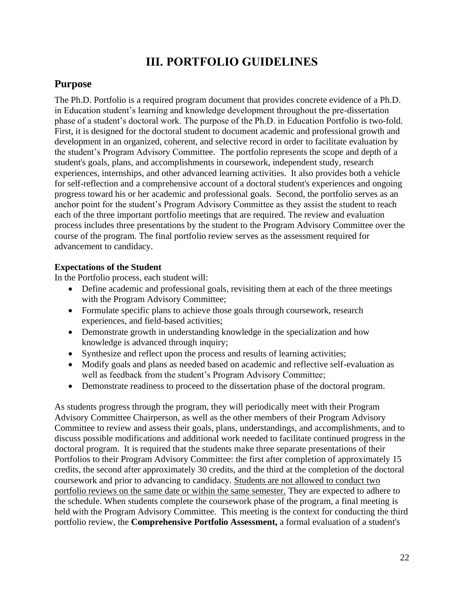## **III. PORTFOLIO GUIDELINES**

### <span id="page-21-1"></span><span id="page-21-0"></span>**Purpose**

The Ph.D. Portfolio is a required program document that provides concrete evidence of a Ph.D. in Education student's learning and knowledge development throughout the pre-dissertation phase of a student's doctoral work. The purpose of the Ph.D. in Education Portfolio is two-fold. First, it is designed for the doctoral student to document academic and professional growth and development in an organized, coherent, and selective record in order to facilitate evaluation by the student's Program Advisory Committee. The portfolio represents the scope and depth of a student's goals, plans, and accomplishments in coursework, independent study, research experiences, internships, and other advanced learning activities. It also provides both a vehicle for self-reflection and a comprehensive account of a doctoral student's experiences and ongoing progress toward his or her academic and professional goals. Second, the portfolio serves as an anchor point for the student's Program Advisory Committee as they assist the student to reach each of the three important portfolio meetings that are required. The review and evaluation process includes three presentations by the student to the Program Advisory Committee over the course of the program. The final portfolio review serves as the assessment required for advancement to candidacy.

#### <span id="page-21-2"></span>**Expectations of the Student**

In the Portfolio process, each student will:

- Define academic and professional goals, revisiting them at each of the three meetings with the Program Advisory Committee;
- Formulate specific plans to achieve those goals through coursework, research experiences, and field-based activities;
- Demonstrate growth in understanding knowledge in the specialization and how knowledge is advanced through inquiry;
- Synthesize and reflect upon the process and results of learning activities;
- Modify goals and plans as needed based on academic and reflective self-evaluation as well as feedback from the student's Program Advisory Committee;
- Demonstrate readiness to proceed to the dissertation phase of the doctoral program.

As students progress through the program, they will periodically meet with their Program Advisory Committee Chairperson, as well as the other members of their Program Advisory Committee to review and assess their goals, plans, understandings, and accomplishments, and to discuss possible modifications and additional work needed to facilitate continued progress in the doctoral program. It is required that the students make three separate presentations of their Portfolios to their Program Advisory Committee: the first after completion of approximately 15 credits, the second after approximately 30 credits, and the third at the completion of the doctoral coursework and prior to advancing to candidacy. Students are not allowed to conduct two portfolio reviews on the same date or within the same semester. They are expected to adhere to the schedule. When students complete the coursework phase of the program, a final meeting is held with the Program Advisory Committee. This meeting is the context for conducting the third portfolio review, the **Comprehensive Portfolio Assessment,** a formal evaluation of a student's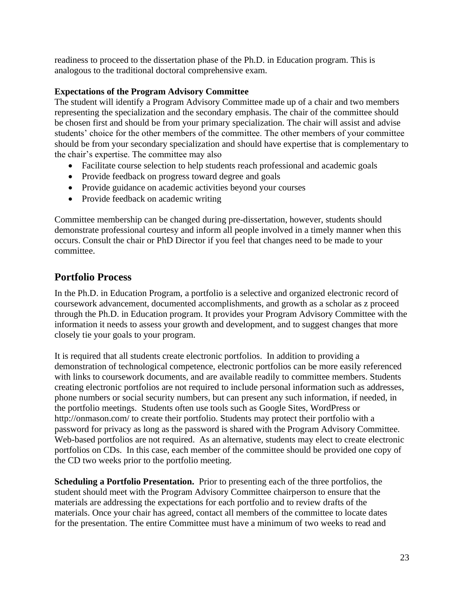readiness to proceed to the dissertation phase of the Ph.D. in Education program. This is analogous to the traditional doctoral comprehensive exam.

#### <span id="page-22-0"></span>**Expectations of the Program Advisory Committee**

The student will identify a Program Advisory Committee made up of a chair and two members representing the specialization and the secondary emphasis. The chair of the committee should be chosen first and should be from your primary specialization. The chair will assist and advise students' choice for the other members of the committee. The other members of your committee should be from your secondary specialization and should have expertise that is complementary to the chair's expertise. The committee may also

- Facilitate course selection to help students reach professional and academic goals
- Provide feedback on progress toward degree and goals
- Provide guidance on academic activities beyond your courses
- Provide feedback on academic writing

Committee membership can be changed during pre-dissertation, however, students should demonstrate professional courtesy and inform all people involved in a timely manner when this occurs. Consult the chair or PhD Director if you feel that changes need to be made to your committee.

## <span id="page-22-1"></span>**Portfolio Process**

In the Ph.D. in Education Program, a portfolio is a selective and organized electronic record of coursework advancement, documented accomplishments, and growth as a scholar as z proceed through the Ph.D. in Education program. It provides your Program Advisory Committee with the information it needs to assess your growth and development, and to suggest changes that more closely tie your goals to your program.

It is required that all students create electronic portfolios. In addition to providing a demonstration of technological competence, electronic portfolios can be more easily referenced with links to coursework documents, and are available readily to committee members. Students creating electronic portfolios are not required to include personal information such as addresses, phone numbers or social security numbers, but can present any such information, if needed, in the portfolio meetings. Students often use tools such as Google Sites, WordPress or http://onmason.com/ to create their portfolio. Students may protect their portfolio with a password for privacy as long as the password is shared with the Program Advisory Committee. Web-based portfolios are not required. As an alternative, students may elect to create electronic portfolios on CDs. In this case, each member of the committee should be provided one copy of the CD two weeks prior to the portfolio meeting.

**Scheduling a Portfolio Presentation.** Prior to presenting each of the three portfolios, the student should meet with the Program Advisory Committee chairperson to ensure that the materials are addressing the expectations for each portfolio and to review drafts of the materials. Once your chair has agreed, contact all members of the committee to locate dates for the presentation. The entire Committee must have a minimum of two weeks to read and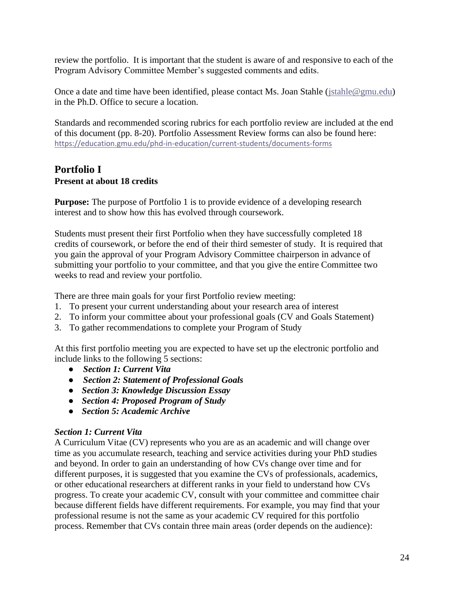review the portfolio. It is important that the student is aware of and responsive to each of the Program Advisory Committee Member's suggested comments and edits.

Once a date and time have been identified, please contact Ms. Joan Stahle [\(jstahle@gmu.edu\)](mailto:jstahle@gmu.edu) in the Ph.D. Office to secure a location.

Standards and recommended scoring rubrics for each portfolio review are included at the end of this document (pp. 8-20). Portfolio Assessment Review forms can also be found here: <https://education.gmu.edu/phd-in-education/current-students/documents-forms>

#### <span id="page-23-0"></span>**Portfolio I Present at about 18 credits**

**Purpose:** The purpose of Portfolio 1 is to provide evidence of a developing research interest and to show how this has evolved through coursework.

Students must present their first Portfolio when they have successfully completed 18 credits of coursework, or before the end of their third semester of study. It is required that you gain the approval of your Program Advisory Committee chairperson in advance of submitting your portfolio to your committee, and that you give the entire Committee two weeks to read and review your portfolio.

There are three main goals for your first Portfolio review meeting:

- 1. To present your current understanding about your research area of interest
- 2. To inform your committee about your professional goals (CV and Goals Statement)
- 3. To gather recommendations to complete your Program of Study

At this first portfolio meeting you are expected to have set up the electronic portfolio and include links to the following 5 sections:

- *Section 1: Current Vita*
- *Section 2: Statement of Professional Goals*
- *Section 3: Knowledge Discussion Essay*
- *Section 4: Proposed Program of Study*
- *Section 5: Academic Archive*

#### *Section 1: Current Vita*

A Curriculum Vitae (CV) represents who you are as an academic and will change over time as you accumulate research, teaching and service activities during your PhD studies and beyond. In order to gain an understanding of how CVs change over time and for different purposes, it is suggested that you examine the CVs of professionals, academics, or other educational researchers at different ranks in your field to understand how CVs progress. To create your academic CV, consult with your committee and committee chair because different fields have different requirements. For example, you may find that your professional resume is not the same as your academic CV required for this portfolio process. Remember that CVs contain three main areas (order depends on the audience):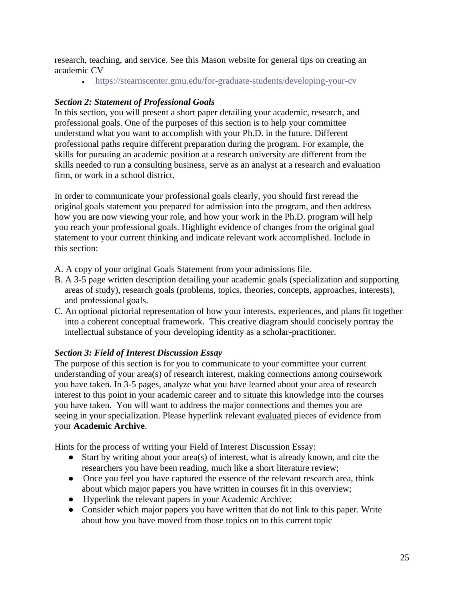research, teaching, and service. See this Mason website for general tips on creating an academic CV

<https://stearnscenter.gmu.edu/for-graduate-students/developing-your-cv>

#### *Section 2: Statement of Professional Goals*

In this section, you will present a short paper detailing your academic, research, and professional goals. One of the purposes of this section is to help your committee understand what you want to accomplish with your Ph.D. in the future. Different professional paths require different preparation during the program. For example, the skills for pursuing an academic position at a research university are different from the skills needed to run a consulting business, serve as an analyst at a research and evaluation firm, or work in a school district.

In order to communicate your professional goals clearly, you should first reread the original goals statement you prepared for admission into the program, and then address how you are now viewing your role, and how your work in the Ph.D. program will help you reach your professional goals. Highlight evidence of changes from the original goal statement to your current thinking and indicate relevant work accomplished. Include in this section:

A. A copy of your original Goals Statement from your admissions file.

- B. A 3-5 page written description detailing your academic goals (specialization and supporting areas of study), research goals (problems, topics, theories, concepts, approaches, interests), and professional goals.
- C. An optional pictorial representation of how your interests, experiences, and plans fit together into a coherent conceptual framework. This creative diagram should concisely portray the intellectual substance of your developing identity as a scholar-practitioner.

#### *Section 3: Field of Interest Discussion Essay*

The purpose of this section is for you to communicate to your committee your current understanding of your area(s) of research interest, making connections among coursework you have taken. In 3-5 pages, analyze what you have learned about your area of research interest to this point in your academic career and to situate this knowledge into the courses you have taken. You will want to address the major connections and themes you are seeing in your specialization. Please hyperlink relevant evaluated pieces of evidence from your **Academic Archive**.

Hints for the process of writing your Field of Interest Discussion Essay:

- Start by writing about your area(s) of interest, what is already known, and cite the researchers you have been reading, much like a short literature review;
- Once you feel you have captured the essence of the relevant research area, think about which major papers you have written in courses fit in this overview;
- Hyperlink the relevant papers in your Academic Archive;
- Consider which major papers you have written that do not link to this paper. Write about how you have moved from those topics on to this current topic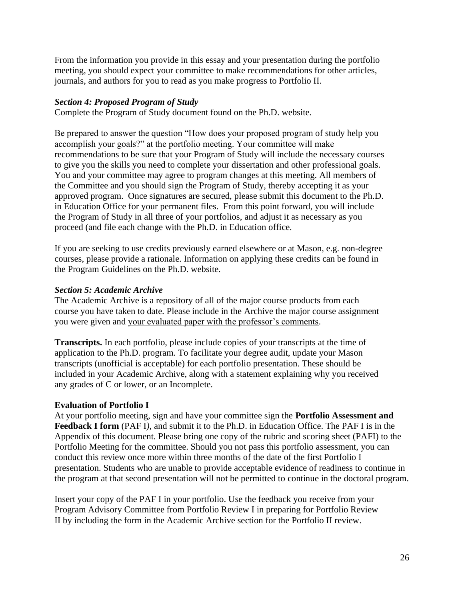From the information you provide in this essay and your presentation during the portfolio meeting, you should expect your committee to make recommendations for other articles, journals, and authors for you to read as you make progress to Portfolio II.

#### *Section 4: Proposed Program of Study*

Complete the Program of Study document found on the Ph.D. website.

Be prepared to answer the question "How does your proposed program of study help you accomplish your goals?" at the portfolio meeting. Your committee will make recommendations to be sure that your Program of Study will include the necessary courses to give you the skills you need to complete your dissertation and other professional goals. You and your committee may agree to program changes at this meeting. All members of the Committee and you should sign the Program of Study, thereby accepting it as your approved program. Once signatures are secured, please submit this document to the Ph.D. in Education Office for your permanent files. From this point forward, you will include the Program of Study in all three of your portfolios, and adjust it as necessary as you proceed (and file each change with the Ph.D. in Education office.

If you are seeking to use credits previously earned elsewhere or at Mason, e.g. non-degree courses, please provide a rationale. Information on applying these credits can be found in the Program Guidelines on the Ph.D. website.

#### *Section 5: Academic Archive*

The Academic Archive is a repository of all of the major course products from each course you have taken to date. Please include in the Archive the major course assignment you were given and your evaluated paper with the professor's comments.

**Transcripts.** In each portfolio, please include copies of your transcripts at the time of application to the Ph.D. program. To facilitate your degree audit, update your Mason transcripts (unofficial is acceptable) for each portfolio presentation. These should be included in your Academic Archive, along with a statement explaining why you received any grades of C or lower, or an Incomplete.

#### <span id="page-25-0"></span>**Evaluation of Portfolio I**

At your portfolio meeting, sign and have your committee sign the **Portfolio Assessment and Feedback I form** (PAF I*)*, and submit it to the Ph.D. in Education Office. The PAF I is in the Appendix of this document. Please bring one copy of the rubric and scoring sheet (PAFI) to the Portfolio Meeting for the committee. Should you not pass this portfolio assessment, you can conduct this review once more within three months of the date of the first Portfolio I presentation. Students who are unable to provide acceptable evidence of readiness to continue in the program at that second presentation will not be permitted to continue in the doctoral program.

Insert your copy of the PAF I in your portfolio. Use the feedback you receive from your Program Advisory Committee from Portfolio Review I in preparing for Portfolio Review II by including the form in the Academic Archive section for the Portfolio II review.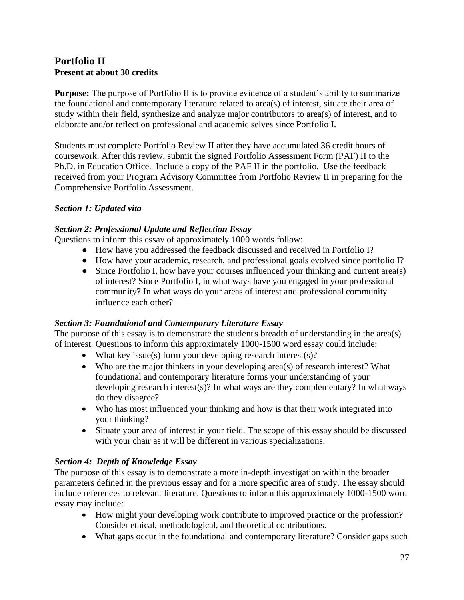#### <span id="page-26-0"></span>**Portfolio II Present at about 30 credits**

**Purpose:** The purpose of Portfolio II is to provide evidence of a student's ability to summarize the foundational and contemporary literature related to area(s) of interest, situate their area of study within their field, synthesize and analyze major contributors to area(s) of interest, and to elaborate and/or reflect on professional and academic selves since Portfolio I.

Students must complete Portfolio Review II after they have accumulated 36 credit hours of coursework. After this review, submit the signed Portfolio Assessment Form (PAF) II to the Ph.D. in Education Office. Include a copy of the PAF II in the portfolio. Use the feedback received from your Program Advisory Committee from Portfolio Review II in preparing for the Comprehensive Portfolio Assessment.

#### *Section 1: Updated vita*

#### *Section 2: Professional Update and Reflection Essay*

Questions to inform this essay of approximately 1000 words follow:

- How have you addressed the feedback discussed and received in Portfolio I?
- How have your academic, research, and professional goals evolved since portfolio I?
- Since Portfolio I, how have your courses influenced your thinking and current area(s) of interest? Since Portfolio I, in what ways have you engaged in your professional community? In what ways do your areas of interest and professional community influence each other?

#### *Section 3: Foundational and Contemporary Literature Essay*

The purpose of this essay is to demonstrate the student's breadth of understanding in the area(s) of interest. Questions to inform this approximately 1000-1500 word essay could include:

- What key issue(s) form your developing research interest(s)?
- Who are the major thinkers in your developing area(s) of research interest? What foundational and contemporary literature forms your understanding of your developing research interest(s)? In what ways are they complementary? In what ways do they disagree?
- Who has most influenced your thinking and how is that their work integrated into your thinking?
- Situate your area of interest in your field. The scope of this essay should be discussed with your chair as it will be different in various specializations.

#### *Section 4: Depth of Knowledge Essay*

The purpose of this essay is to demonstrate a more in-depth investigation within the broader parameters defined in the previous essay and for a more specific area of study. The essay should include references to relevant literature. Questions to inform this approximately 1000-1500 word essay may include:

- How might your developing work contribute to improved practice or the profession? Consider ethical, methodological, and theoretical contributions.
- What gaps occur in the foundational and contemporary literature? Consider gaps such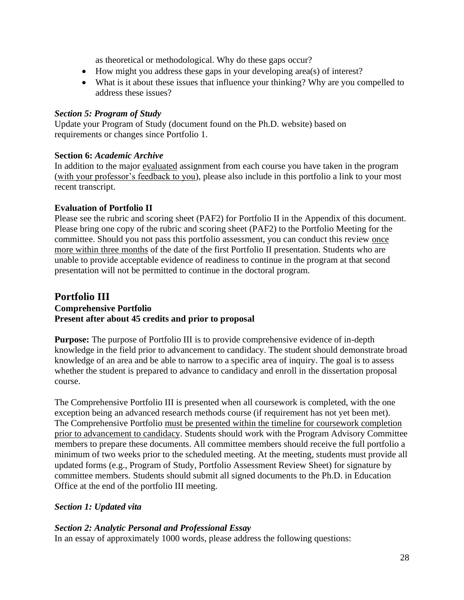as theoretical or methodological. Why do these gaps occur?

- How might you address these gaps in your developing area(s) of interest?
- What is it about these issues that influence your thinking? Why are you compelled to address these issues?

#### *Section 5: Program of Study*

Update your Program of Study (document found on the Ph.D. website) based on requirements or changes since Portfolio 1.

#### **Section 6:** *Academic Archive*

In addition to the major evaluated assignment from each course you have taken in the program (with your professor's feedback to you), please also include in this portfolio a link to your most recent transcript.

#### <span id="page-27-0"></span>**Evaluation of Portfolio II**

Please see the rubric and scoring sheet (PAF2) for Portfolio II in the Appendix of this document. Please bring one copy of the rubric and scoring sheet (PAF2) to the Portfolio Meeting for the committee. Should you not pass this portfolio assessment, you can conduct this review once more within three months of the date of the first Portfolio II presentation. Students who are unable to provide acceptable evidence of readiness to continue in the program at that second presentation will not be permitted to continue in the doctoral program.

#### <span id="page-27-1"></span>**Portfolio III Comprehensive Portfolio Present after about 45 credits and prior to proposal**

**Purpose:** The purpose of Portfolio III is to provide comprehensive evidence of in-depth knowledge in the field prior to advancement to candidacy. The student should demonstrate broad knowledge of an area and be able to narrow to a specific area of inquiry. The goal is to assess whether the student is prepared to advance to candidacy and enroll in the dissertation proposal course.

The Comprehensive Portfolio III is presented when all coursework is completed, with the one exception being an advanced research methods course (if requirement has not yet been met). The Comprehensive Portfolio must be presented within the timeline for coursework completion prior to advancement to candidacy. Students should work with the Program Advisory Committee members to prepare these documents. All committee members should receive the full portfolio a minimum of two weeks prior to the scheduled meeting. At the meeting, students must provide all updated forms (e.g., Program of Study, Portfolio Assessment Review Sheet) for signature by committee members*.* Students should submit all signed documents to the Ph.D. in Education Office at the end of the portfolio III meeting.

#### *Section 1: Updated vita*

#### *Section 2: Analytic Personal and Professional Essay*

In an essay of approximately 1000 words, please address the following questions: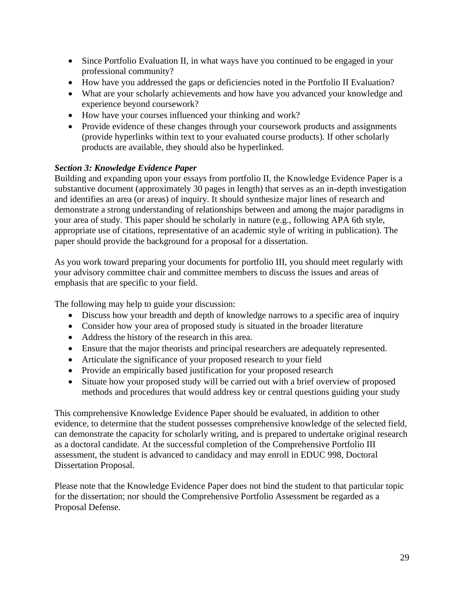- Since Portfolio Evaluation II, in what ways have you continued to be engaged in your professional community?
- How have you addressed the gaps or deficiencies noted in the Portfolio II Evaluation?
- What are your scholarly achievements and how have you advanced your knowledge and experience beyond coursework?
- How have your courses influenced your thinking and work?
- Provide evidence of these changes through your coursework products and assignments (provide hyperlinks within text to your evaluated course products). If other scholarly products are available, they should also be hyperlinked.

#### *Section 3: Knowledge Evidence Paper*

Building and expanding upon your essays from portfolio II, the Knowledge Evidence Paper is a substantive document (approximately 30 pages in length) that serves as an in-depth investigation and identifies an area (or areas) of inquiry. It should synthesize major lines of research and demonstrate a strong understanding of relationships between and among the major paradigms in your area of study. This paper should be scholarly in nature (e.g., following APA 6th style, appropriate use of citations, representative of an academic style of writing in publication). The paper should provide the background for a proposal for a dissertation.

As you work toward preparing your documents for portfolio III, you should meet regularly with your advisory committee chair and committee members to discuss the issues and areas of emphasis that are specific to your field.

The following may help to guide your discussion:

- Discuss how your breadth and depth of knowledge narrows to a specific area of inquiry
- Consider how your area of proposed study is situated in the broader literature
- Address the history of the research in this area.
- Ensure that the major theorists and principal researchers are adequately represented.
- Articulate the significance of your proposed research to your field
- Provide an empirically based justification for your proposed research
- Situate how your proposed study will be carried out with a brief overview of proposed methods and procedures that would address key or central questions guiding your study

This comprehensive Knowledge Evidence Paper should be evaluated, in addition to other evidence, to determine that the student possesses comprehensive knowledge of the selected field, can demonstrate the capacity for scholarly writing, and is prepared to undertake original research as a doctoral candidate. At the successful completion of the Comprehensive Portfolio III assessment, the student is advanced to candidacy and may enroll in EDUC 998, Doctoral Dissertation Proposal.

Please note that the Knowledge Evidence Paper does not bind the student to that particular topic for the dissertation; nor should the Comprehensive Portfolio Assessment be regarded as a Proposal Defense.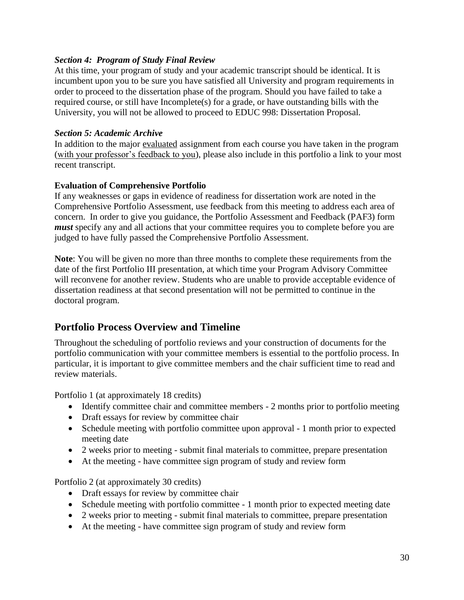#### *Section 4: Program of Study Final Review*

At this time, your program of study and your academic transcript should be identical. It is incumbent upon you to be sure you have satisfied all University and program requirements in order to proceed to the dissertation phase of the program. Should you have failed to take a required course, or still have Incomplete(s) for a grade, or have outstanding bills with the University, you will not be allowed to proceed to EDUC 998: Dissertation Proposal.

#### *Section 5: Academic Archive*

In addition to the major evaluated assignment from each course you have taken in the program (with your professor's feedback to you), please also include in this portfolio a link to your most recent transcript.

#### <span id="page-29-0"></span>**Evaluation of Comprehensive Portfolio**

If any weaknesses or gaps in evidence of readiness for dissertation work are noted in the Comprehensive Portfolio Assessment, use feedback from this meeting to address each area of concern. In order to give you guidance, the Portfolio Assessment and Feedback (PAF3) form *must* specify any and all actions that your committee requires you to complete before you are judged to have fully passed the Comprehensive Portfolio Assessment.

**Note**: You will be given no more than three months to complete these requirements from the date of the first Portfolio III presentation, at which time your Program Advisory Committee will reconvene for another review. Students who are unable to provide acceptable evidence of dissertation readiness at that second presentation will not be permitted to continue in the doctoral program.

## <span id="page-29-1"></span>**Portfolio Process Overview and Timeline**

Throughout the scheduling of portfolio reviews and your construction of documents for the portfolio communication with your committee members is essential to the portfolio process. In particular, it is important to give committee members and the chair sufficient time to read and review materials.

Portfolio 1 (at approximately 18 credits)

- Identify committee chair and committee members 2 months prior to portfolio meeting
- Draft essays for review by committee chair
- Schedule meeting with portfolio committee upon approval 1 month prior to expected meeting date
- 2 weeks prior to meeting submit final materials to committee, prepare presentation
- At the meeting have committee sign program of study and review form

Portfolio 2 (at approximately 30 credits)

- Draft essays for review by committee chair
- Schedule meeting with portfolio committee 1 month prior to expected meeting date
- 2 weeks prior to meeting submit final materials to committee, prepare presentation
- At the meeting have committee sign program of study and review form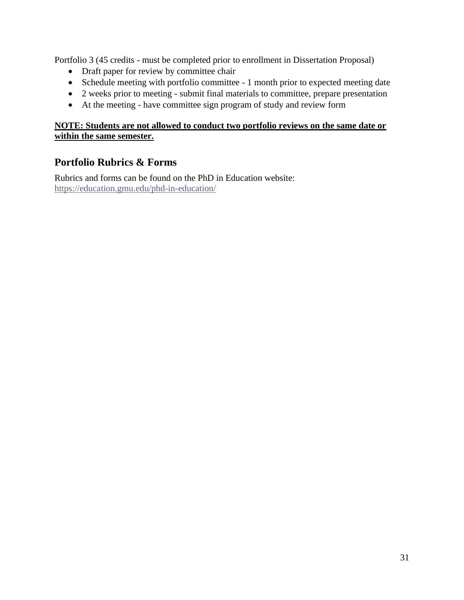Portfolio 3 (45 credits - must be completed prior to enrollment in Dissertation Proposal)

- Draft paper for review by committee chair
- Schedule meeting with portfolio committee 1 month prior to expected meeting date
- 2 weeks prior to meeting submit final materials to committee, prepare presentation
- At the meeting have committee sign program of study and review form

#### **NOTE: Students are not allowed to conduct two portfolio reviews on the same date or within the same semester.**

## <span id="page-30-0"></span>**Portfolio Rubrics & Forms**

Rubrics and forms can be found on the PhD in Education website: <https://education.gmu.edu/phd-in-education/>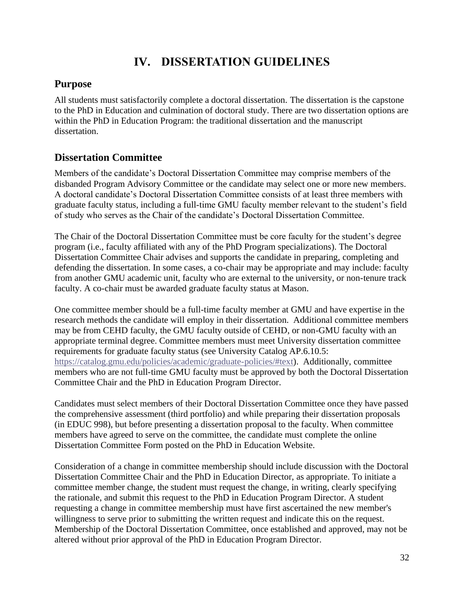## **IV. DISSERTATION GUIDELINES**

## <span id="page-31-1"></span><span id="page-31-0"></span>**Purpose**

All students must satisfactorily complete a doctoral dissertation. The dissertation is the capstone to the PhD in Education and culmination of doctoral study. There are two dissertation options are within the PhD in Education Program: the traditional dissertation and the manuscript dissertation.

## <span id="page-31-2"></span>**Dissertation Committee**

Members of the candidate's Doctoral Dissertation Committee may comprise members of the disbanded Program Advisory Committee or the candidate may select one or more new members. A doctoral candidate's Doctoral Dissertation Committee consists of at least three members with graduate faculty status, including a full-time GMU faculty member relevant to the student's field of study who serves as the Chair of the candidate's Doctoral Dissertation Committee.

The Chair of the Doctoral Dissertation Committee must be core faculty for the student's degree program (i.e., faculty affiliated with any of the PhD Program specializations). The Doctoral Dissertation Committee Chair advises and supports the candidate in preparing, completing and defending the dissertation. In some cases, a co-chair may be appropriate and may include: faculty from another GMU academic unit, faculty who are external to the university, or non-tenure track faculty. A co-chair must be awarded graduate faculty status at Mason.

One committee member should be a full-time faculty member at GMU and have expertise in the research methods the candidate will employ in their dissertation. Additional committee members may be from CEHD faculty, the GMU faculty outside of CEHD, or non-GMU faculty with an appropriate terminal degree. Committee members must meet University dissertation committee requirements for graduate faculty status (see University Catalog AP.6.10.5: [https://catalog.gmu.edu/policies/academic/graduate-policies/#text\)](https://catalog.gmu.edu/policies/academic/graduate-policies/#text). Additionally, committee members who are not full-time GMU faculty must be approved by both the Doctoral Dissertation Committee Chair and the PhD in Education Program Director.

Candidates must select members of their Doctoral Dissertation Committee once they have passed the comprehensive assessment (third portfolio) and while preparing their dissertation proposals (in EDUC 998), but before presenting a dissertation proposal to the faculty. When committee members have agreed to serve on the committee, the candidate must complete the online Dissertation Committee Form posted on the PhD in Education Website.

Consideration of a change in committee membership should include discussion with the Doctoral Dissertation Committee Chair and the PhD in Education Director, as appropriate. To initiate a committee member change, the student must request the change, in writing, clearly specifying the rationale, and submit this request to the PhD in Education Program Director. A student requesting a change in committee membership must have first ascertained the new member's willingness to serve prior to submitting the written request and indicate this on the request. Membership of the Doctoral Dissertation Committee, once established and approved, may not be altered without prior approval of the PhD in Education Program Director.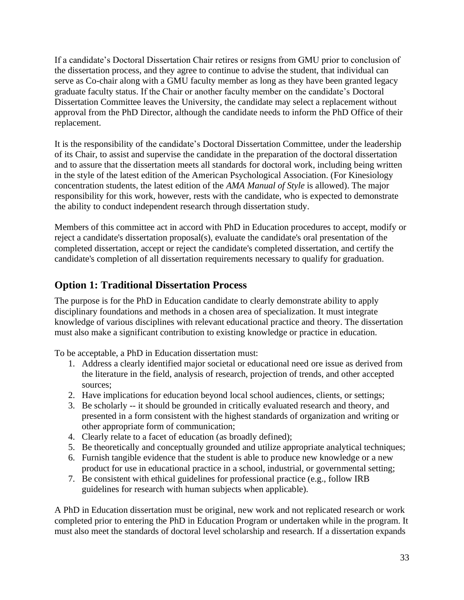If a candidate's Doctoral Dissertation Chair retires or resigns from GMU prior to conclusion of the dissertation process, and they agree to continue to advise the student, that individual can serve as Co-chair along with a GMU faculty member as long as they have been granted legacy graduate faculty status. If the Chair or another faculty member on the candidate's Doctoral Dissertation Committee leaves the University, the candidate may select a replacement without approval from the PhD Director, although the candidate needs to inform the PhD Office of their replacement.

It is the responsibility of the candidate's Doctoral Dissertation Committee, under the leadership of its Chair, to assist and supervise the candidate in the preparation of the doctoral dissertation and to assure that the dissertation meets all standards for doctoral work, including being written in the style of the latest edition of the American Psychological Association. (For Kinesiology concentration students, the latest edition of the *AMA Manual of Style* is allowed). The major responsibility for this work, however, rests with the candidate, who is expected to demonstrate the ability to conduct independent research through dissertation study.

Members of this committee act in accord with PhD in Education procedures to accept, modify or reject a candidate's dissertation proposal(s), evaluate the candidate's oral presentation of the completed dissertation, accept or reject the candidate's completed dissertation, and certify the candidate's completion of all dissertation requirements necessary to qualify for graduation.

## <span id="page-32-0"></span>**Option 1: Traditional Dissertation Process**

The purpose is for the PhD in Education candidate to clearly demonstrate ability to apply disciplinary foundations and methods in a chosen area of specialization. It must integrate knowledge of various disciplines with relevant educational practice and theory. The dissertation must also make a significant contribution to existing knowledge or practice in education.

To be acceptable, a PhD in Education dissertation must:

- 1. Address a clearly identified major societal or educational need ore issue as derived from the literature in the field, analysis of research, projection of trends, and other accepted sources;
- 2. Have implications for education beyond local school audiences, clients, or settings;
- 3. Be scholarly -- it should be grounded in critically evaluated research and theory, and presented in a form consistent with the highest standards of organization and writing or other appropriate form of communication;
- 4. Clearly relate to a facet of education (as broadly defined);
- 5. Be theoretically and conceptually grounded and utilize appropriate analytical techniques;
- 6. Furnish tangible evidence that the student is able to produce new knowledge or a new product for use in educational practice in a school, industrial, or governmental setting;
- 7. Be consistent with ethical guidelines for professional practice (e.g., follow IRB guidelines for research with human subjects when applicable).

A PhD in Education dissertation must be original, new work and not replicated research or work completed prior to entering the PhD in Education Program or undertaken while in the program. It must also meet the standards of doctoral level scholarship and research. If a dissertation expands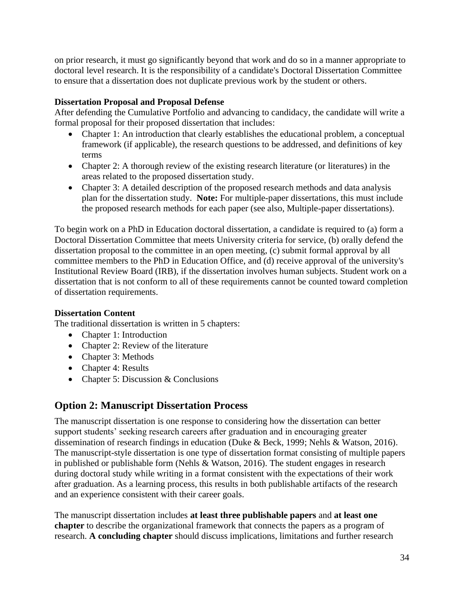on prior research, it must go significantly beyond that work and do so in a manner appropriate to doctoral level research. It is the responsibility of a candidate's Doctoral Dissertation Committee to ensure that a dissertation does not duplicate previous work by the student or others.

#### <span id="page-33-0"></span>**Dissertation Proposal and Proposal Defense**

After defending the Cumulative Portfolio and advancing to candidacy, the candidate will write a formal proposal for their proposed dissertation that includes:

- Chapter 1: An introduction that clearly establishes the educational problem, a conceptual framework (if applicable), the research questions to be addressed, and definitions of key terms
- Chapter 2: A thorough review of the existing research literature (or literatures) in the areas related to the proposed dissertation study.
- Chapter 3: A detailed description of the proposed research methods and data analysis plan for the dissertation study. **Note:** For multiple-paper dissertations, this must include the proposed research methods for each paper (see also, Multiple-paper dissertations).

To begin work on a PhD in Education doctoral dissertation, a candidate is required to (a) form a Doctoral Dissertation Committee that meets University criteria for service, (b) orally defend the dissertation proposal to the committee in an open meeting, (c) submit formal approval by all committee members to the PhD in Education Office, and (d) receive approval of the university's Institutional Review Board (IRB), if the dissertation involves human subjects. Student work on a dissertation that is not conform to all of these requirements cannot be counted toward completion of dissertation requirements.

#### <span id="page-33-1"></span>**Dissertation Content**

The traditional dissertation is written in 5 chapters:

- Chapter 1: Introduction
- Chapter 2: Review of the literature
- Chapter 3: Methods
- Chapter 4: Results
- Chapter 5: Discussion & Conclusions

## <span id="page-33-2"></span>**Option 2: Manuscript Dissertation Process**

The manuscript dissertation is one response to considering how the dissertation can better support students' seeking research careers after graduation and in encouraging greater dissemination of research findings in education (Duke & Beck, 1999; Nehls & Watson, 2016). The manuscript-style dissertation is one type of dissertation format consisting of multiple papers in published or publishable form (Nehls & Watson, 2016). The student engages in research during doctoral study while writing in a format consistent with the expectations of their work after graduation. As a learning process, this results in both publishable artifacts of the research and an experience consistent with their career goals.

The manuscript dissertation includes **at least three publishable papers** and **at least one chapter** to describe the organizational framework that connects the papers as a program of research. **A concluding chapter** should discuss implications, limitations and further research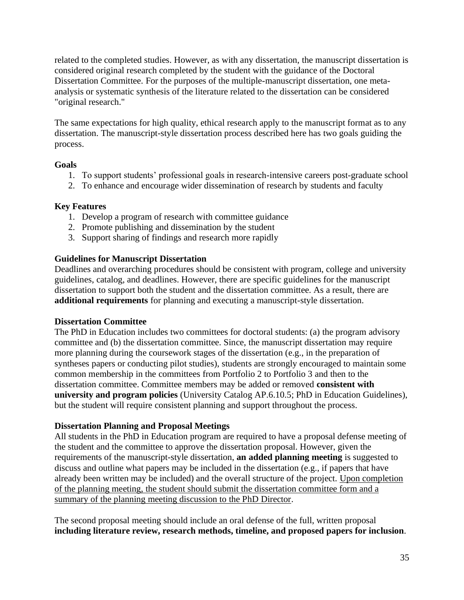related to the completed studies. However, as with any dissertation, the manuscript dissertation is considered original research completed by the student with the guidance of the Doctoral Dissertation Committee. For the purposes of the multiple-manuscript dissertation, one metaanalysis or systematic synthesis of the literature related to the dissertation can be considered "original research."

The same expectations for high quality, ethical research apply to the manuscript format as to any dissertation. The manuscript-style dissertation process described here has two goals guiding the process.

#### **Goals**

- 1. To support students' professional goals in research-intensive careers post-graduate school
- 2. To enhance and encourage wider dissemination of research by students and faculty

#### **Key Features**

- 1. Develop a program of research with committee guidance
- 2. Promote publishing and dissemination by the student
- 3. Support sharing of findings and research more rapidly

#### **Guidelines for Manuscript Dissertation**

Deadlines and overarching procedures should be consistent with program, college and university guidelines, catalog, and deadlines. However, there are specific guidelines for the manuscript dissertation to support both the student and the dissertation committee. As a result, there are **additional requirements** for planning and executing a manuscript-style dissertation.

#### <span id="page-34-0"></span>**Dissertation Committee**

The PhD in Education includes two committees for doctoral students: (a) the program advisory committee and (b) the dissertation committee. Since, the manuscript dissertation may require more planning during the coursework stages of the dissertation (e.g., in the preparation of syntheses papers or conducting pilot studies), students are strongly encouraged to maintain some common membership in the committees from Portfolio 2 to Portfolio 3 and then to the dissertation committee. Committee members may be added or removed **consistent with university and program policies** (University Catalog AP.6.10.5; PhD in Education Guidelines), but the student will require consistent planning and support throughout the process.

#### <span id="page-34-1"></span>**Dissertation Planning and Proposal Meetings**

All students in the PhD in Education program are required to have a proposal defense meeting of the student and the committee to approve the dissertation proposal. However, given the requirements of the manuscript-style dissertation, **an added planning meeting** is suggested to discuss and outline what papers may be included in the dissertation (e.g., if papers that have already been written may be included) and the overall structure of the project. Upon completion of the planning meeting, the student should submit the dissertation committee form and a summary of the planning meeting discussion to the PhD Director.

The second proposal meeting should include an oral defense of the full, written proposal **including literature review, research methods, timeline, and proposed papers for inclusion**.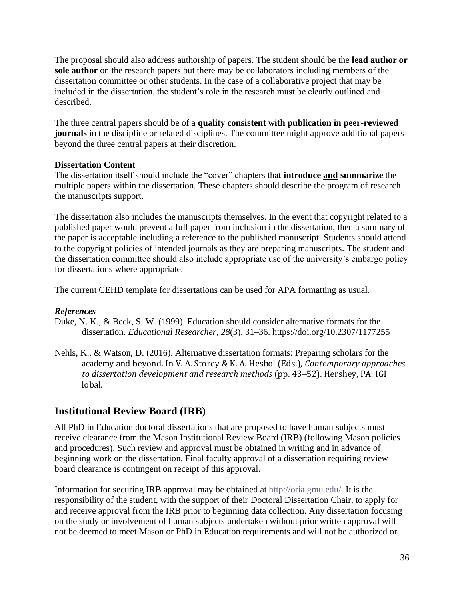The proposal should also address authorship of papers. The student should be the **lead author or sole author** on the research papers but there may be collaborators including members of the dissertation committee or other students. In the case of a collaborative project that may be included in the dissertation, the student's role in the research must be clearly outlined and described.

The three central papers should be of a **quality consistent with publication in peer-reviewed journals** in the discipline or related disciplines. The committee might approve additional papers beyond the three central papers at their discretion.

#### <span id="page-35-0"></span>**Dissertation Content**

The dissertation itself should include the "cover" chapters that **introduce and summarize** the multiple papers within the dissertation. These chapters should describe the program of research the manuscripts support.

The dissertation also includes the manuscripts themselves. In the event that copyright related to a published paper would prevent a full paper from inclusion in the dissertation, then a summary of the paper is acceptable including a reference to the published manuscript. Students should attend to the copyright policies of intended journals as they are preparing manuscripts. The student and the dissertation committee should also include appropriate use of the university's embargo policy for dissertations where appropriate.

The current CEHD template for dissertations can be used for APA formatting as usual.

#### *References*

- Duke, N. K., & Beck, S. W. (1999). Education should consider alternative formats for the dissertation. *Educational Researcher*, *28*(3), 31–36. https://doi.org/10.2307/1177255
- Nehls, K., & Watson, D. (2016). Alternative dissertation formats: Preparing scholars for the academy and beyond. In V. A. Storey & K. A. Hesbol (Eds.), *Contemporary approaches to dissertation development and research methods* (pp. 43–52). Hershey, PA: IGI lobal.

### <span id="page-35-1"></span>**Institutional Review Board (IRB)**

All PhD in Education doctoral dissertations that are proposed to have human subjects must receive clearance from the Mason Institutional Review Board (IRB) (following Mason policies and procedures). Such review and approval must be obtained in writing and in advance of beginning work on the dissertation. Final faculty approval of a dissertation requiring review board clearance is contingent on receipt of this approval.

Information for securing IRB approval may be obtained at [http://oria.gmu.edu/.](http://oria.gmu.edu/) It is the responsibility of the student, with the support of their Doctoral Dissertation Chair, to apply for and receive approval from the IRB prior to beginning data collection. Any dissertation focusing on the study or involvement of human subjects undertaken without prior written approval will not be deemed to meet Mason or PhD in Education requirements and will not be authorized or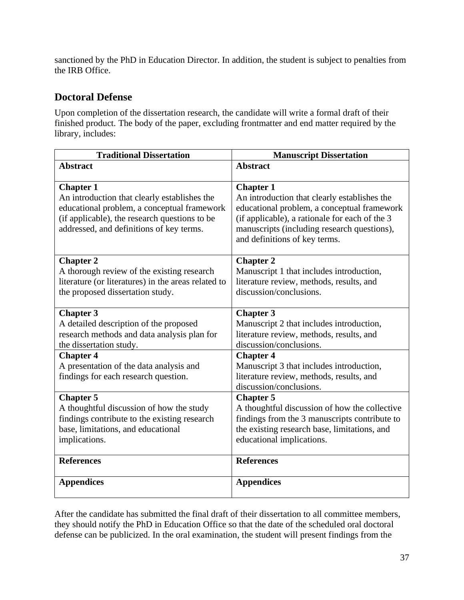sanctioned by the PhD in Education Director. In addition, the student is subject to penalties from the IRB Office.

## <span id="page-36-0"></span>**Doctoral Defense**

Upon completion of the dissertation research, the candidate will write a formal draft of their finished product. The body of the paper, excluding frontmatter and end matter required by the library, includes:

| <b>Traditional Dissertation</b>                     | <b>Manuscript Dissertation</b>                 |  |
|-----------------------------------------------------|------------------------------------------------|--|
| <b>Abstract</b>                                     | <b>Abstract</b>                                |  |
|                                                     |                                                |  |
| <b>Chapter 1</b>                                    | <b>Chapter 1</b>                               |  |
| An introduction that clearly establishes the        | An introduction that clearly establishes the   |  |
| educational problem, a conceptual framework         | educational problem, a conceptual framework    |  |
| (if applicable), the research questions to be       | (if applicable), a rationale for each of the 3 |  |
| addressed, and definitions of key terms.            | manuscripts (including research questions),    |  |
|                                                     | and definitions of key terms.                  |  |
| <b>Chapter 2</b>                                    | <b>Chapter 2</b>                               |  |
| A thorough review of the existing research          | Manuscript 1 that includes introduction,       |  |
| literature (or literatures) in the areas related to | literature review, methods, results, and       |  |
| the proposed dissertation study.                    | discussion/conclusions.                        |  |
|                                                     |                                                |  |
| <b>Chapter 3</b>                                    | <b>Chapter 3</b>                               |  |
| A detailed description of the proposed              | Manuscript 2 that includes introduction,       |  |
| research methods and data analysis plan for         | literature review, methods, results, and       |  |
| the dissertation study.                             | discussion/conclusions.                        |  |
| <b>Chapter 4</b>                                    | <b>Chapter 4</b>                               |  |
| A presentation of the data analysis and             | Manuscript 3 that includes introduction,       |  |
| findings for each research question.                | literature review, methods, results, and       |  |
|                                                     | discussion/conclusions.                        |  |
| <b>Chapter 5</b>                                    | <b>Chapter 5</b>                               |  |
| A thoughtful discussion of how the study            | A thoughtful discussion of how the collective  |  |
| findings contribute to the existing research        | findings from the 3 manuscripts contribute to  |  |
| base, limitations, and educational                  | the existing research base, limitations, and   |  |
| implications.                                       | educational implications.                      |  |
| <b>References</b>                                   | <b>References</b>                              |  |
|                                                     |                                                |  |
| <b>Appendices</b>                                   | <b>Appendices</b>                              |  |
|                                                     |                                                |  |

After the candidate has submitted the final draft of their dissertation to all committee members, they should notify the PhD in Education Office so that the date of the scheduled oral doctoral defense can be publicized. In the oral examination, the student will present findings from the